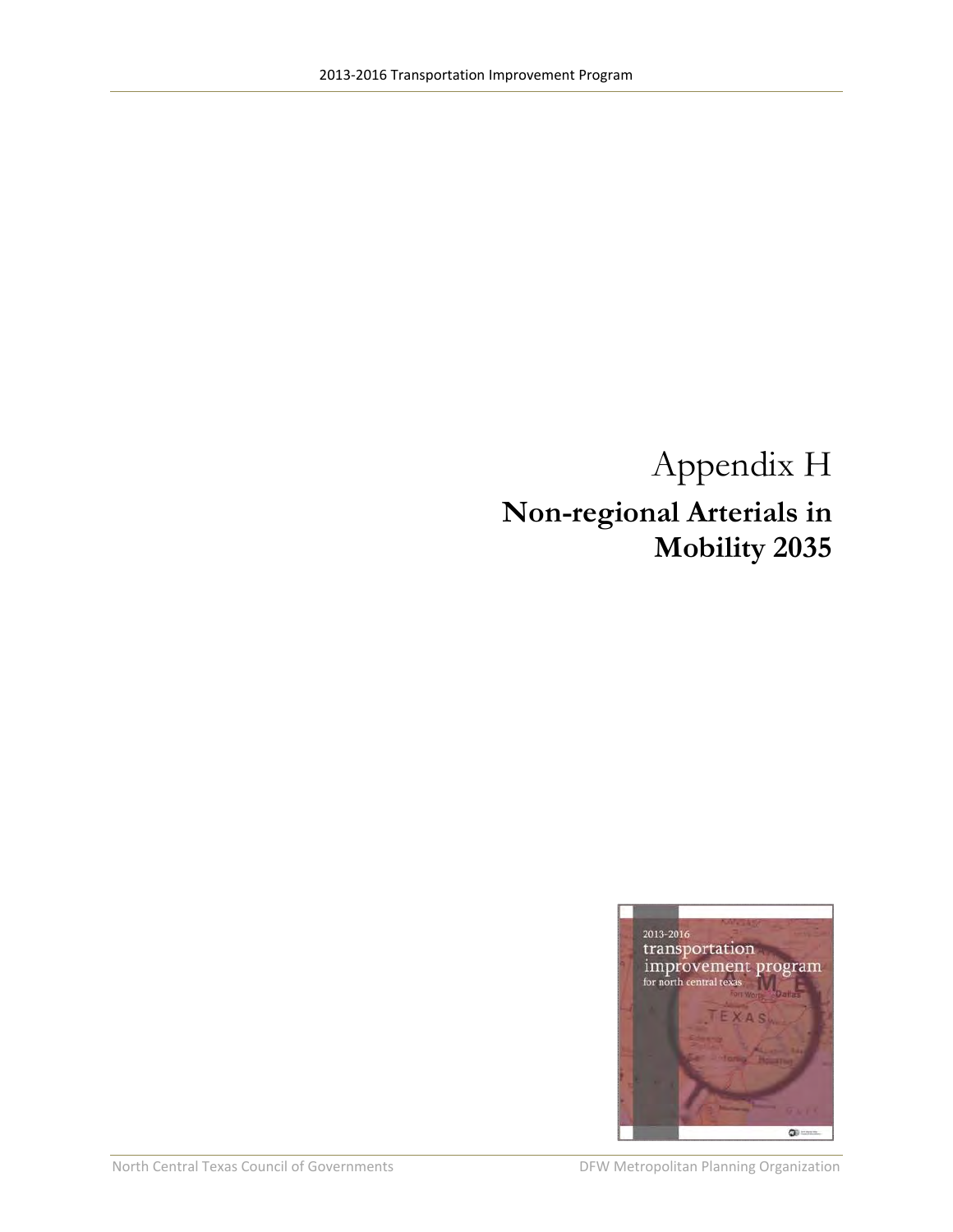## Appendix H **Non-regional Arterials in Mobility 2035**

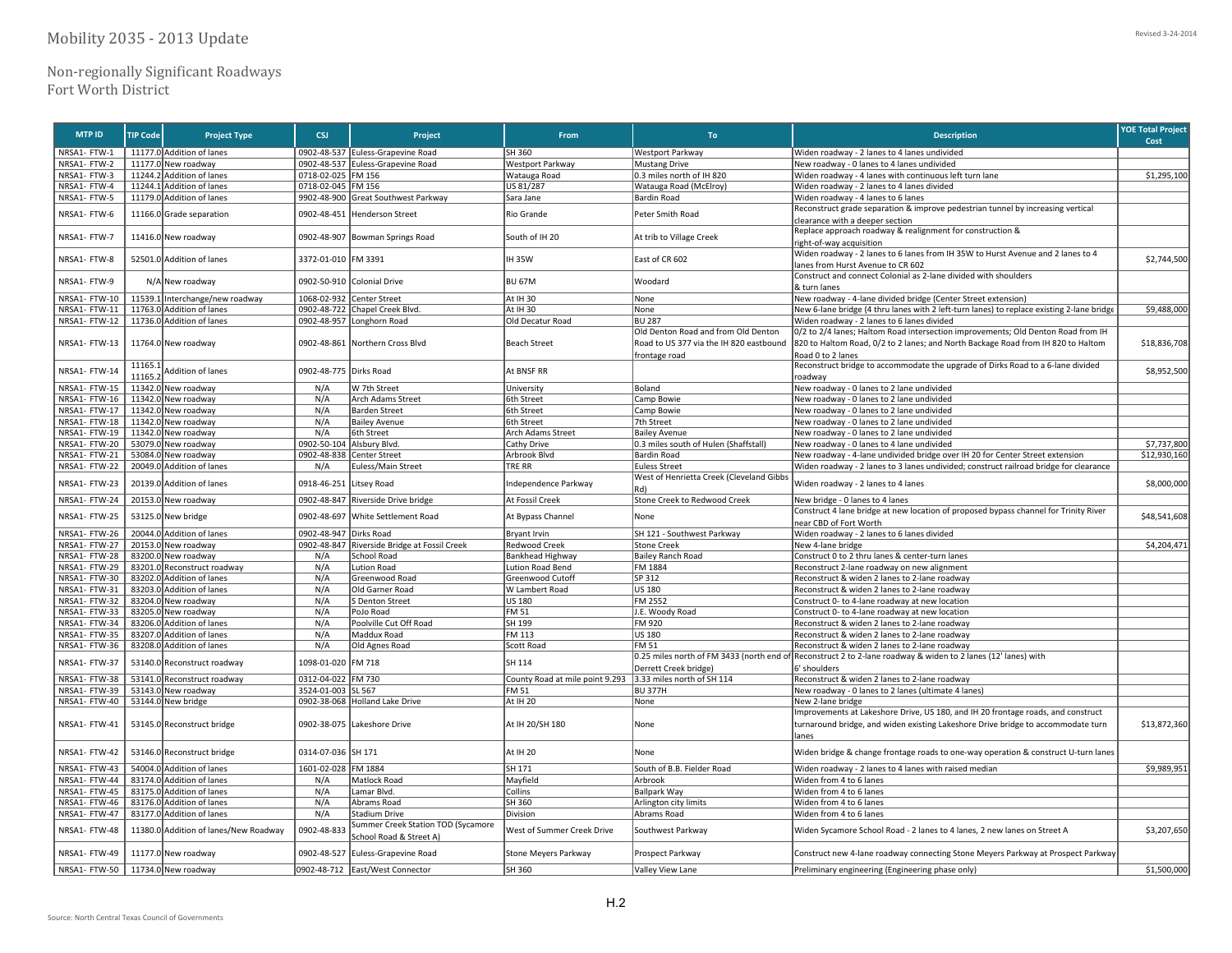| <b>MTP ID</b> | <b>TIP Code</b> | <b>Project Type</b>             | <b>CSJ</b>             | Project                                                       | From                            | To                                              | <b>Description</b>                                                                                                                                                   | <b>YOE Total Project</b><br>Cost |
|---------------|-----------------|---------------------------------|------------------------|---------------------------------------------------------------|---------------------------------|-------------------------------------------------|----------------------------------------------------------------------------------------------------------------------------------------------------------------------|----------------------------------|
| NRSA1- FTW-1  |                 | 11177.0 Addition of lanes       |                        | 0902-48-537 Euless-Grapevine Road                             | SH 360                          | Westport Parkway                                | Widen roadway - 2 lanes to 4 lanes undivided                                                                                                                         |                                  |
| NRSA1- FTW-2  |                 | 11177.0 New roadway             |                        | 0902-48-537 Euless-Grapevine Road                             | Westport Parkway                | <b>Mustang Drive</b>                            | New roadway - 0 lanes to 4 lanes undivided                                                                                                                           |                                  |
| NRSA1- FTW-3  |                 | 11244.2 Addition of lanes       | 0718-02-025 FM 156     |                                                               | Watauga Road                    | 0.3 miles north of IH 820                       | Widen roadway - 4 lanes with continuous left turn lane                                                                                                               | \$1,295,100                      |
| NRSA1- FTW-4  |                 | 11244.1 Addition of lanes       | 0718-02-045 FM 156     |                                                               | US 81/287                       | Watauga Road (McElroy)                          | Widen roadway - 2 lanes to 4 lanes divided                                                                                                                           |                                  |
| NRSA1- FTW-5  |                 | 11179.0 Addition of lanes       |                        | 9902-48-900 Great Southwest Parkway                           | Sara Jane                       | Bardin Road                                     | Widen roadway - 4 lanes to 6 lanes                                                                                                                                   |                                  |
|               |                 |                                 |                        |                                                               |                                 |                                                 | Reconstruct grade separation & improve pedestrian tunnel by increasing vertical                                                                                      |                                  |
| NRSA1- FTW-6  |                 | 11166.0 Grade separation        | 0902-48-451            | <b>Henderson Street</b>                                       | Rio Grande                      | Peter Smith Road                                | clearance with a deeper section                                                                                                                                      |                                  |
|               |                 |                                 |                        |                                                               |                                 |                                                 | Replace approach roadway & realignment for construction &                                                                                                            |                                  |
| NRSA1- FTW-7  |                 | 11416.0 New roadway             | 0902-48-907            | Bowman Springs Road                                           | South of IH 20                  | At trib to Village Creek                        | ight-of-way acquisition                                                                                                                                              |                                  |
|               |                 |                                 |                        |                                                               |                                 |                                                 | Widen roadway - 2 lanes to 6 lanes from IH 35W to Hurst Avenue and 2 lanes to 4                                                                                      |                                  |
| NRSA1- FTW-8  |                 | 52501.0 Addition of lanes       | 3372-01-010 FM 3391    |                                                               | <b>IH35W</b>                    | East of CR 602                                  | lanes from Hurst Avenue to CR 602                                                                                                                                    | \$2,744,500                      |
|               |                 |                                 |                        |                                                               |                                 |                                                 | Construct and connect Colonial as 2-lane divided with shoulders                                                                                                      |                                  |
| NRSA1- FTW-9  |                 | N/A New roadway                 |                        | 0902-50-910 Colonial Drive                                    | <b>BU 67M</b>                   | Woodard                                         |                                                                                                                                                                      |                                  |
|               |                 |                                 |                        |                                                               |                                 |                                                 | & turn lanes                                                                                                                                                         |                                  |
| NRSA1- FTW-10 |                 | 11539.1 Interchange/new roadway | 1068-02-932            | Center Street                                                 | At IH 30                        | None                                            | New roadway - 4-lane divided bridge (Center Street extension)                                                                                                        |                                  |
| NRSA1-FTW-11  |                 | 11763.0 Addition of lanes       |                        | 0902-48-722 Chapel Creek Blvd.                                | At IH 30                        | None                                            | New 6-lane bridge (4 thru lanes with 2 left-turn lanes) to replace existing 2-lane bridge                                                                            | \$9,488,000                      |
| NRSA1- FTW-12 |                 | 11736.0 Addition of lanes       |                        | 0902-48-957 Longhorn Road                                     | Old Decatur Road                | <b>BU 287</b>                                   | Widen roadway - 2 lanes to 6 lanes divided                                                                                                                           |                                  |
|               |                 |                                 |                        |                                                               |                                 | Old Denton Road and from Old Denton             | 0/2 to 2/4 lanes; Haltom Road intersection improvements; Old Denton Road from IH                                                                                     |                                  |
| NRSA1- FTW-13 |                 | 11764.0 New roadway             |                        | 0902-48-861 Northern Cross Blvd                               | <b>Beach Street</b>             | Road to US 377 via the IH 820 eastbound         | 820 to Haltom Road, 0/2 to 2 lanes; and North Backage Road from IH 820 to Haltom                                                                                     | \$18,836,708                     |
|               |                 |                                 |                        |                                                               |                                 | frontage road                                   | Road 0 to 2 lanes                                                                                                                                                    |                                  |
| NRSA1- FTW-14 | 11165.          |                                 | 0902-48-775 Dirks Road |                                                               | At BNSF RR                      |                                                 | Reconstruct bridge to accommodate the upgrade of Dirks Road to a 6-lane divided                                                                                      | \$8,952,500                      |
|               | 11165.2         | Addition of lanes               |                        |                                                               |                                 |                                                 | roadway                                                                                                                                                              |                                  |
| NRSA1- FTW-15 |                 | 11342.0 New roadway             | N/A                    | W 7th Street                                                  | University                      | Boland                                          | New roadway - 0 lanes to 2 lane undivided                                                                                                                            |                                  |
| NRSA1- FTW-16 |                 | 11342.0 New roadway             | N/A                    | Arch Adams Street                                             | 6th Street                      | Camp Bowie                                      | New roadway - 0 lanes to 2 lane undivided                                                                                                                            |                                  |
| NRSA1- FTW-17 |                 | 11342.0 New roadway             | N/A                    | <b>Barden Street</b>                                          | 6th Street                      | Camp Bowie                                      | New roadway - 0 lanes to 2 lane undivided                                                                                                                            |                                  |
| NRSA1- FTW-18 |                 | 11342.0 New roadway             | N/A                    | <b>Bailey Avenue</b>                                          | 6th Street                      | 7th Street                                      | New roadway - 0 lanes to 2 lane undivided                                                                                                                            |                                  |
| NRSA1- FTW-19 |                 | 11342.0 New roadway             | N/A                    | 6th Street                                                    | Arch Adams Street               | <b>Bailey Avenue</b>                            | New roadway - 0 lanes to 2 lane undivided                                                                                                                            |                                  |
| NRSA1- FTW-20 |                 | 53079.0 New roadway             | 0902-50-104            | Alsbury Blvd.                                                 | Cathy Drive                     | 0.3 miles south of Hulen (Shaffstall)           | New roadway - 0 lanes to 4 lane undivided                                                                                                                            | \$7,737,800                      |
|               | 53084.0         |                                 | 0902-48-838            |                                                               |                                 |                                                 |                                                                                                                                                                      | \$12,930.160                     |
| NRSA1- FTW-21 |                 | New roadway                     |                        | <b>Center Street</b>                                          | Arbrook Blvd                    | <b>Bardin Road</b>                              | New roadway - 4-lane undivided bridge over IH 20 for Center Street extension                                                                                         |                                  |
| NRSA1- FTW-22 |                 | 20049.0 Addition of lanes       | N/A                    | Euless/Main Street                                            | <b>TRE RR</b>                   | <b>Euless Street</b>                            | Widen roadway - 2 lanes to 3 lanes undivided; construct railroad bridge for clearance                                                                                |                                  |
| NRSA1- FTW-23 | 20139.0         | Addition of lanes               | 0918-46-251            | Litsey Road                                                   | ndependence Parkway             | West of Henrietta Creek (Cleveland Gibbs<br>(kN | Widen roadway - 2 lanes to 4 lanes                                                                                                                                   | \$8,000,000                      |
| NRSA1- FTW-24 |                 | 20153.0 New roadway             |                        | 0902-48-847 Riverside Drive bridge                            | At Fossil Creek                 | Stone Creek to Redwood Creek                    | New bridge - 0 lanes to 4 lanes                                                                                                                                      |                                  |
| NRSA1- FTW-25 |                 | 53125.0 New bridge              | 0902-48-697            | White Settlement Road                                         | At Bypass Channel               | None                                            | Construct 4 lane bridge at new location of proposed bypass channel for Trinity River<br>near CBD of Fort Worth                                                       | \$48,541,608                     |
| NRSA1- FTW-26 |                 | 20044.0 Addition of lanes       | 0902-48-947            | Dirks Road                                                    | <b>Bryant Irvin</b>             | SH 121 - Southwest Parkway                      | Widen roadway - 2 lanes to 6 lanes divided                                                                                                                           |                                  |
| NRSA1- FTW-27 |                 | 20153.0 New roadway             | 0902-48-847            | Riverside Bridge at Fossil Creek                              | Redwood Creek                   | <b>Stone Creek</b>                              | New 4-lane bridge                                                                                                                                                    | \$4,204,471                      |
| NRSA1- FTW-28 | 83200.0         | New roadway                     | N/A                    | <b>School Road</b>                                            | <b>Bankhead Highway</b>         | <b>Bailey Ranch Road</b>                        | Construct 0 to 2 thru lanes & center-turn lanes                                                                                                                      |                                  |
| NRSA1- FTW-29 | 83201.0         | Reconstruct roadway             | N/A                    | Lution Road                                                   | <b>Lution Road Bend</b>         | FM 1884                                         | Reconstruct 2-lane roadway on new alignment                                                                                                                          |                                  |
| NRSA1- FTW-30 |                 | 83202.0 Addition of lanes       | N/A                    | Greenwood Road                                                | Greenwood Cutoff                | SP 312                                          | Reconstruct & widen 2 lanes to 2-lane roadway                                                                                                                        |                                  |
| NRSA1-FTW-31  |                 | 83203.0 Addition of lanes       | N/A                    | Old Garner Road                                               | W Lambert Road                  | <b>US 180</b>                                   | Reconstruct & widen 2 lanes to 2-lane roadway                                                                                                                        |                                  |
| NRSA1- FTW-32 |                 | 83204.0 New roadway             | N/A                    | S Denton Street                                               | <b>US 180</b>                   | FM 2552                                         | Construct 0- to 4-lane roadway at new location                                                                                                                       |                                  |
| NRSA1- FTW-33 |                 | 83205.0 New roadway             | N/A                    | PoJo Road                                                     | <b>FM 51</b>                    | J.E. Woody Road                                 | Construct 0- to 4-lane roadway at new location                                                                                                                       |                                  |
| NRSA1- FTW-34 | 83206.0         | Addition of lanes               | N/A                    | Poolville Cut Off Road                                        | SH 199                          | FM 920                                          | Reconstruct & widen 2 lanes to 2-lane roadway                                                                                                                        |                                  |
|               |                 |                                 |                        |                                                               |                                 |                                                 |                                                                                                                                                                      |                                  |
| NRSA1- FTW-35 |                 | 83207.0 Addition of lanes       | N/A                    | Maddux Road                                                   | FM 113                          | US 180                                          | Reconstruct & widen 2 lanes to 2-lane roadway                                                                                                                        |                                  |
| NRSA1- FTW-36 |                 | 83208.0 Addition of lanes       | N/A                    | Old Agnes Road                                                | <b>Scott Road</b>               | FM 51                                           | Reconstruct & widen 2 lanes to 2-lane roadway                                                                                                                        |                                  |
| NRSA1- FTW-37 | 53140.0         | Reconstruct roadway             | 1098-01-020            | FM 718                                                        | SH 114                          | 0.25 miles north of FM 3433 (north end of       | f Reconstruct 2 to 2-lane roadway & widen to 2 lanes (12' lanes) with                                                                                                |                                  |
|               |                 |                                 |                        |                                                               |                                 | Derrett Creek bridge)                           | 6' shoulders                                                                                                                                                         |                                  |
| NRSA1- FTW-38 |                 | 53141.0 Reconstruct roadway     | 0312-04-022            | <b>IFM 730</b>                                                | County Road at mile point 9.293 | 3.33 miles north of SH 114                      | Reconstruct & widen 2 lanes to 2-lane roadway                                                                                                                        |                                  |
| NRSA1- FTW-39 |                 | 53143.0 New roadway             | 3524-01-003 SL 567     |                                                               | <b>FM 51</b>                    | <b>BU 377H</b>                                  | New roadway - 0 lanes to 2 lanes (ultimate 4 lanes)                                                                                                                  |                                  |
| NRSA1- FTW-40 |                 | 53144.0 New bridge              |                        | 0902-38-068 Holland Lake Drive                                | At IH 20                        | None                                            | New 2-lane bridge                                                                                                                                                    |                                  |
| NRSA1- FTW-41 |                 | 53145.0 Reconstruct bridge      |                        | 0902-38-075 Lakeshore Drive                                   | At IH 20/SH 180                 | None                                            | Improvements at Lakeshore Drive, US 180, and IH 20 frontage roads, and construct<br>turnaround bridge, and widen existing Lakeshore Drive bridge to accommodate turn | \$13,872,360                     |
|               |                 |                                 |                        |                                                               |                                 |                                                 | lanes                                                                                                                                                                |                                  |
|               |                 |                                 |                        |                                                               |                                 |                                                 |                                                                                                                                                                      |                                  |
| NRSA1- FTW-42 |                 | 53146.0 Reconstruct bridge      | 0314-07-036 SH 171     |                                                               | At IH 20                        | None                                            | Widen bridge & change frontage roads to one-way operation & construct U-turn lanes                                                                                   |                                  |
| NRSA1- FTW-43 |                 | 54004.0 Addition of lanes       | 1601-02-028            | FM 1884                                                       | SH 171                          | South of B.B. Fielder Road                      | Widen roadway - 2 lanes to 4 lanes with raised median                                                                                                                | \$9,989,951                      |
| NRSA1- FTW-44 |                 | 83174.0 Addition of lanes       | N/A                    | Matlock Road                                                  | Mayfield                        | Arbrook                                         | Widen from 4 to 6 lanes                                                                                                                                              |                                  |
| NRSA1- FTW-45 |                 | 83175.0 Addition of lanes       | N/A                    | Lamar Blvd.                                                   | Collins                         | <b>Ballpark Way</b>                             | Widen from 4 to 6 lanes                                                                                                                                              |                                  |
| NRSA1- FTW-46 |                 | 83176.0 Addition of lanes       | N/A                    | Abrams Road                                                   | SH 360                          | Arlington city limits                           | Widen from 4 to 6 lanes                                                                                                                                              |                                  |
| NRSA1- FTW-47 |                 | 83177.0 Addition of lanes       | N/A                    | Stadium Drive                                                 | Division                        | Abrams Road                                     | Widen from 4 to 6 lanes                                                                                                                                              |                                  |
| NRSA1- FTW-48 | 11380.0         | Addition of lanes/New Roadway   | 0902-48-833            | Summer Creek Station TOD (Sycamore<br>School Road & Street A) | West of Summer Creek Drive      | Southwest Parkway                               | Widen Sycamore School Road - 2 lanes to 4 lanes, 2 new lanes on Street A                                                                                             | \$3,207,650                      |
| NRSA1- FTW-49 |                 | 11177.0 New roadway             |                        | 0902-48-527 Euless-Grapevine Road                             | Stone Meyers Parkway            | Prospect Parkway                                | Construct new 4-lane roadway connecting Stone Meyers Parkway at Prospect Parkway                                                                                     |                                  |
| NRSA1-FTW-50  |                 | 11734.0 New roadway             |                        | 0902-48-712 East/West Connector                               | SH 360                          | Valley View Lane                                | Preliminary engineering (Engineering phase only)                                                                                                                     | \$1,500,000                      |

Revised 3‐24‐2014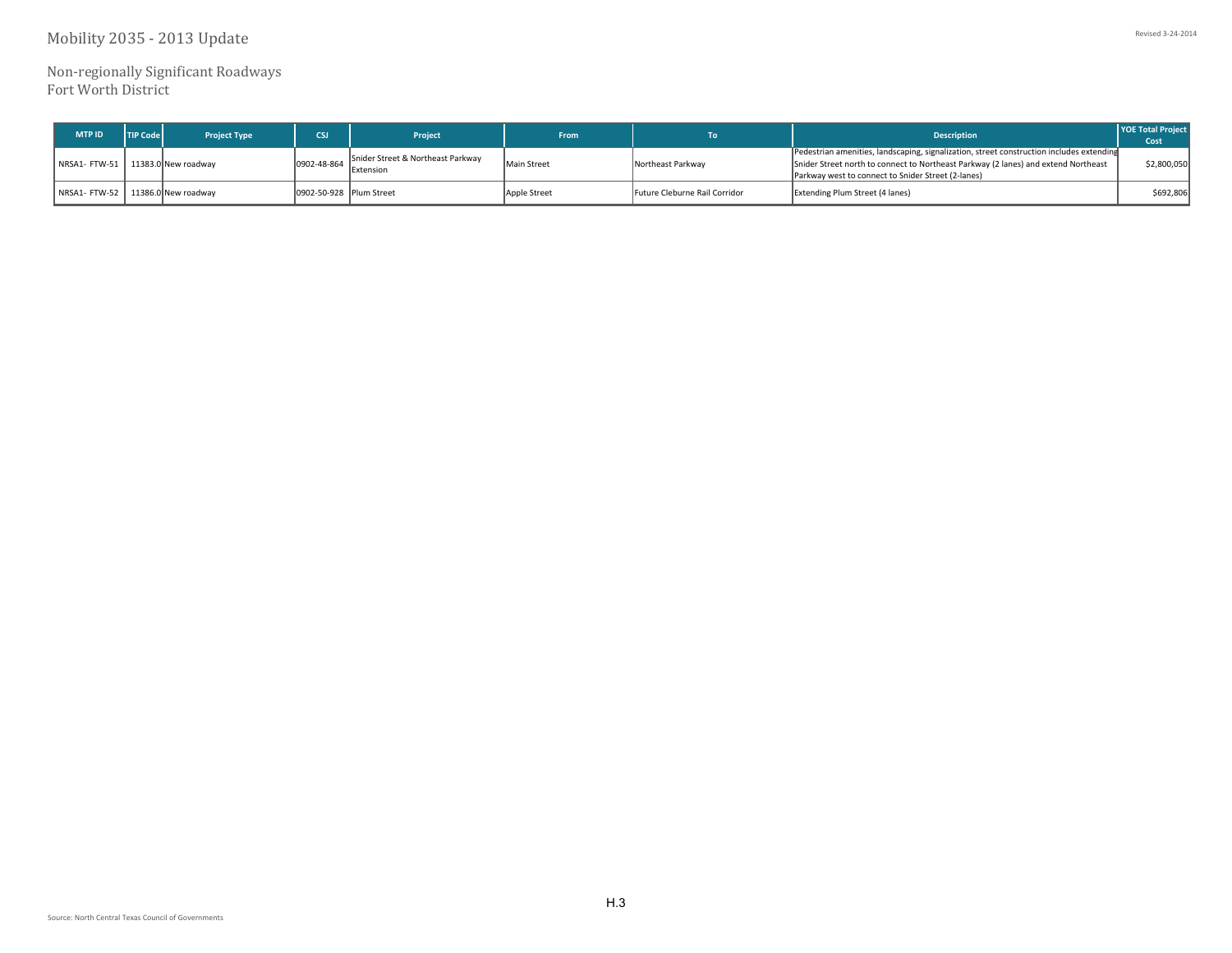Mobility 2035 - 2013 Update

Non‐regionally Significant Roadways Fort Worth District

| <b>MTP ID</b>                       | <b>TIP Code</b> | <b>Project Type</b> | CSI <sup>-</sup>        | Project                                                | <b>From</b>        |                               | <b>Description</b>                                                                                                                                                                                                                   | <b>YOE Total Project</b><br>Cost |
|-------------------------------------|-----------------|---------------------|-------------------------|--------------------------------------------------------|--------------------|-------------------------------|--------------------------------------------------------------------------------------------------------------------------------------------------------------------------------------------------------------------------------------|----------------------------------|
| NRSA1- FTW-51   11383.0 New roadway |                 |                     | 0902-48-864             | Snider Street & Northeast Parkway<br><b>IExtension</b> | <b>Main Street</b> | Northeast Parkway             | Pedestrian amenities, landscaping, signalization, street construction includes extending<br>Snider Street north to connect to Northeast Parkway (2 lanes) and extend Northeast<br>Parkway west to connect to Snider Street (2-lanes) | \$2,800,050                      |
| NRSA1- FTW-52 11386.0 New roadway   |                 |                     | 0902-50-928 Plum Street |                                                        | Apple Street       | Future Cleburne Rail Corridor | <b>Extending Plum Street (4 lanes)</b>                                                                                                                                                                                               | \$692,806                        |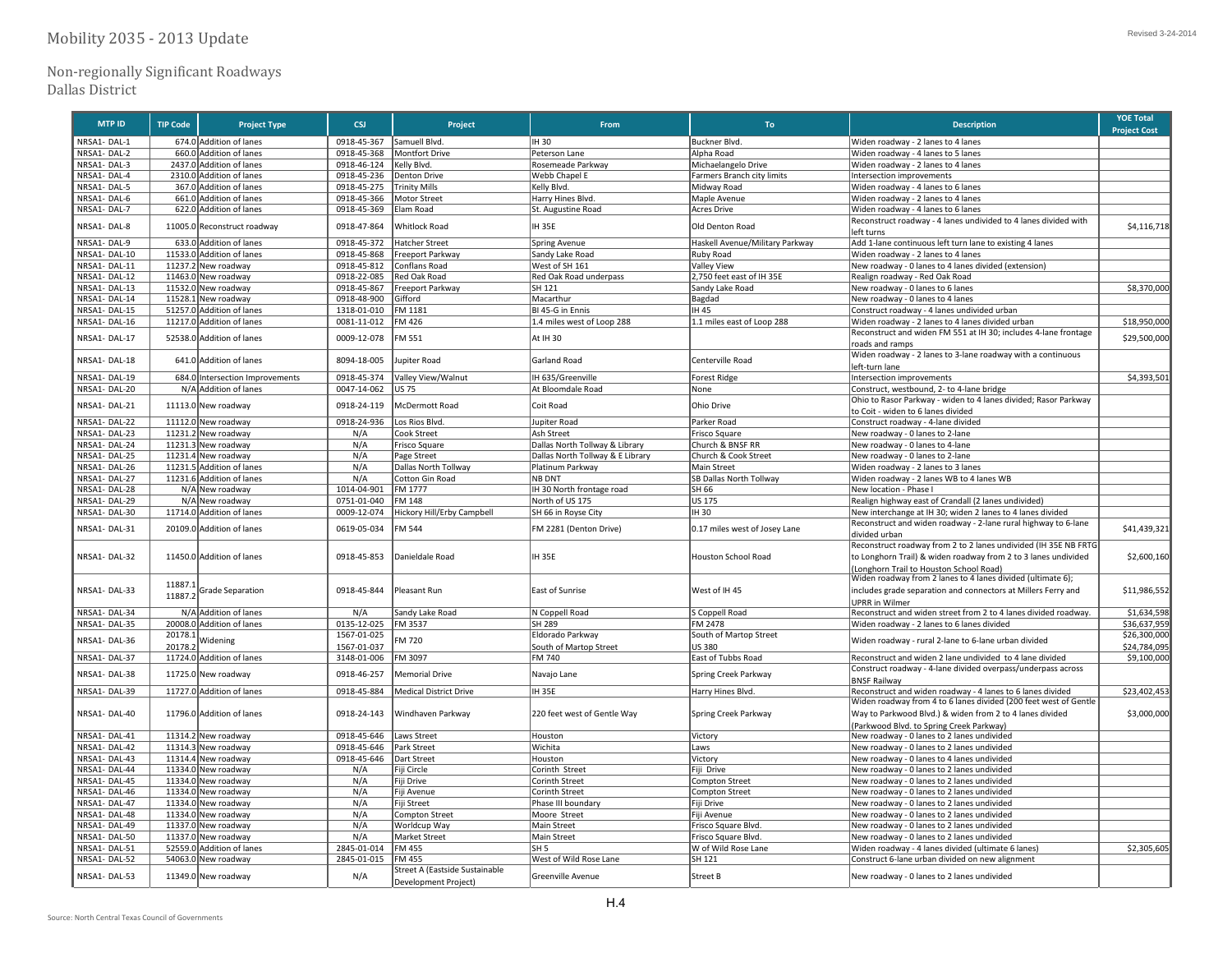## Non‐regionally Significant Roadways

Dallas District

| <b>MTP ID</b>                | <b>TIP Code</b> | <b>Project Type</b>                                | <b>CSJ</b>         | Project                              | From                               | To                                        | <b>Description</b>                                                                                    | <b>YOE Total</b>            |
|------------------------------|-----------------|----------------------------------------------------|--------------------|--------------------------------------|------------------------------------|-------------------------------------------|-------------------------------------------------------------------------------------------------------|-----------------------------|
| NRSA1-DAL-1                  |                 | 674.0 Addition of lanes                            | 0918-45-367        | Samuell Blvd.                        | IH 30                              | Buckner Blvd.                             | Widen roadway - 2 lanes to 4 lanes                                                                    | <b>Project Cost</b>         |
| NRSA1-DAL-2                  |                 | 660.0 Addition of lanes                            | 0918-45-368        | Montfort Drive                       | Peterson Lane                      | Alpha Road                                | Widen roadway - 4 lanes to 5 lanes                                                                    |                             |
| NRSA1-DAL-3                  | 2437.0          | Addition of lanes                                  | 0918-46-124        | Kelly Blvd.                          | Rosemeade Parkway                  | Michaelangelo Drive                       | Widen roadway - 2 lanes to 4 lanes                                                                    |                             |
| NRSA1-DAL-4                  | 2310.0          | Addition of lanes                                  | 0918-45-236        | Denton Drive                         | Webb Chapel E                      | Farmers Branch city limits                | ntersection improvements                                                                              |                             |
| NRSA1-DAL-5                  |                 | 367.0 Addition of lanes                            | 0918-45-275        | <b>Trinity Mills</b>                 | Kelly Blvd.                        | Midway Road                               | Widen roadway - 4 lanes to 6 lanes                                                                    |                             |
| NRSA1-DAL-6                  |                 | 661.0 Addition of lanes                            | 0918-45-366        | Motor Street                         | Harry Hines Blvd                   | Maple Avenue                              | Widen roadway - 2 lanes to 4 lanes                                                                    |                             |
| NRSA1-DAL-7                  |                 | 622.0 Addition of lanes                            | 0918-45-369        | Elam Road                            | St. Augustine Road                 | <b>Acres Drive</b>                        | Widen roadway - 4 lanes to 6 lanes                                                                    |                             |
|                              |                 |                                                    |                    |                                      |                                    |                                           | Reconstruct roadway - 4 lanes undivided to 4 lanes divided with                                       |                             |
| NRSA1-DAL-8                  |                 | 11005.0 Reconstruct roadway                        | 0918-47-864        | Whitlock Road                        | <b>IH 35E</b>                      | Old Denton Road                           | eft turns                                                                                             | \$4,116,718                 |
| NRSA1-DAL-9                  |                 | 633.0 Addition of lanes                            | 0918-45-372        | Hatcher Street                       | Spring Avenue                      | Haskell Avenue/Military Parkway           | Add 1-lane continuous left turn lane to existing 4 lanes                                              |                             |
| NRSA1-DAL-10                 |                 | 11533.0 Addition of lanes                          | 0918-45-868        | Freeport Parkway                     | Sandy Lake Road                    | Ruby Road                                 | Widen roadway - 2 lanes to 4 lanes                                                                    |                             |
| NRSA1-DAL-11                 |                 | 11237.2 New roadway                                | 0918-45-812        | Conflans Road                        | West of SH 161                     | <b>Valley View</b>                        | New roadway - 0 lanes to 4 lanes divided (extension)                                                  |                             |
| NRSA1-DAL-12                 |                 | 11463.0 New roadway                                | 0918-22-085        | Red Oak Road                         | Red Oak Road underpass             | 2,750 feet east of IH 35E                 | Realign roadway - Red Oak Road                                                                        |                             |
| NRSA1-DAL-13                 |                 | 11532.0 New roadway                                | 0918-45-867        | Freeport Parkway                     | SH 121                             | Sandy Lake Road                           | New roadway - 0 lanes to 6 lanes                                                                      | \$8,370,000                 |
| NRSA1-DAL-14                 |                 | 11528.1 New roadway                                | 0918-48-900        | Gifford                              | Macarthur                          | Bagdad                                    | New roadway - 0 lanes to 4 lanes                                                                      |                             |
| NRSA1-DAL-15                 |                 | 51257.0 Addition of lanes                          | 1318-01-010        | FM 1181                              | BI 45-G in Ennis                   | IH 45                                     | Construct roadway - 4 lanes undivided urban                                                           |                             |
| NRSA1-DAL-16                 |                 | 11217.0 Addition of lanes                          | 0081-11-012        | FM 426                               | 1.4 miles west of Loop 288         | 1.1 miles east of Loop 288                | Widen roadway - 2 lanes to 4 lanes divided urban                                                      | \$18,950,000                |
| NRSA1-DAL-17                 |                 | 52538.0 Addition of lanes                          | 0009-12-078        | M 551                                | At IH 30                           |                                           | Reconstruct and widen FM 551 at IH 30; includes 4-lane frontage                                       | \$29,500,000                |
|                              |                 |                                                    |                    |                                      |                                    |                                           | oads and ramps                                                                                        |                             |
| NRSA1-DAL-18                 |                 | 641.0 Addition of lanes                            | 8094-18-005        | upiter Road                          | Garland Road                       | Centerville Road                          | Widen roadway - 2 lanes to 3-lane roadway with a continuous                                           |                             |
|                              |                 |                                                    |                    |                                      |                                    |                                           | eft-turn lane                                                                                         |                             |
| NRSA1-DAL-19                 |                 | 684.0 Intersection Improvements                    | 0918-45-374        | Valley View/Walnut                   | IH 635/Greenville                  | <b>Forest Ridge</b>                       | Intersection improvements                                                                             | \$4,393,501                 |
| NRSA1-DAL-20                 |                 | N/A Addition of lanes                              | 0047-14-062        | <b>US 75</b>                         | At Bloomdale Road                  | None                                      | Construct, westbound, 2- to 4-lane bridge                                                             |                             |
| NRSA1-DAL-21                 |                 | 11113.0 New roadway                                | 0918-24-119        | McDermott Road                       | Coit Road                          | Ohio Drive                                | Ohio to Rasor Parkway - widen to 4 lanes divided; Rasor Parkway                                       |                             |
|                              |                 |                                                    |                    |                                      |                                    |                                           | to Coit - widen to 6 lanes divided                                                                    |                             |
| NRSA1-DAL-22                 |                 | 11112.0 New roadway                                | 0918-24-936        | Los Rios Blvd.                       | Jupiter Road                       | Parker Road                               | Construct roadway - 4-lane divided                                                                    |                             |
| NRSA1-DAL-23                 |                 | 11231.2 New roadway                                | N/A                | Cook Street                          | Ash Street                         | Frisco Square                             | New roadway - 0 lanes to 2-lane                                                                       |                             |
| NRSA1-DAL-24                 |                 | 11231.3 New roadway                                | N/A                | Frisco Square                        | Dallas North Tollway & Library     | Church & BNSF RR                          | New roadway - 0 lanes to 4-lane                                                                       |                             |
| NRSA1-DAL-25                 |                 | 11231.4 New roadway                                | N/A                | Page Street                          | Dallas North Tollway & E Library   | Church & Cook Street                      | New roadway - 0 lanes to 2-lane                                                                       |                             |
| NRSA1-DAL-26                 |                 | 11231.5 Addition of lanes                          | N/A                | Dallas North Tollway                 | Platinum Parkway                   | Main Street                               | Widen roadway - 2 lanes to 3 lanes                                                                    |                             |
| NRSA1-DAL-27                 |                 | 11231.6 Addition of lanes                          | N/A                | Cotton Gin Road                      | NB DNT                             | SB Dallas North Tollway                   | Widen roadway - 2 lanes WB to 4 lanes WB                                                              |                             |
| NRSA1-DAL-28                 |                 | N/A New roadway                                    | 1014-04-901        | FM 1777                              | IH 30 North frontage road          | SH 66                                     | New location - Phase I                                                                                |                             |
| NRSA1-DAL-29                 |                 | N/A New roadway                                    | 0751-01-040        | FM 148                               | North of US 175                    | US 175                                    | Realign highway east of Crandall (2 lanes undivided)                                                  |                             |
| NRSA1-DAL-30                 |                 | 11714.0 Addition of lanes                          | 0009-12-074        | Hickory Hill/Erby Campbell           | SH 66 in Royse City                | IH 30                                     | New interchange at IH 30; widen 2 lanes to 4 lanes divided                                            |                             |
| NRSA1-DAL-31                 |                 | 20109.0 Addition of lanes                          | 0619-05-034        | FM 544                               | FM 2281 (Denton Drive)             | 0.17 miles west of Josey Lane             | Reconstruct and widen roadway - 2-lane rural highway to 6-lane                                        | \$41,439,321                |
|                              |                 |                                                    |                    |                                      |                                    |                                           | divided urban                                                                                         |                             |
|                              |                 |                                                    |                    |                                      |                                    |                                           | Reconstruct roadway from 2 to 2 lanes undivided (IH 35E NB FRTG                                       |                             |
| NRSA1-DAL-32                 |                 | 11450.0 Addition of lanes                          | 0918-45-853        | Danieldale Road                      | <b>IH 35E</b>                      | <b>Houston School Road</b>                | to Longhorn Trail) & widen roadway from 2 to 3 lanes undivided                                        | \$2,600,160                 |
|                              |                 |                                                    |                    |                                      |                                    |                                           | Longhorn Trail to Houston School Road)<br>Widen roadway from 2 lanes to 4 lanes divided (ultimate 6); |                             |
| NRSA1-DAL-33                 | 11887           |                                                    |                    |                                      |                                    | West of IH 45                             |                                                                                                       | \$11,986,552                |
|                              | 11887.2         | <b>Grade Separation</b>                            | 0918-45-844        | Pleasant Run                         | East of Sunrise                    |                                           | includes grade separation and connectors at Millers Ferry and                                         |                             |
|                              |                 |                                                    |                    |                                      |                                    |                                           | <b>UPRR</b> in Wilmer                                                                                 |                             |
| NRSA1-DAL-34<br>NRSA1-DAL-35 |                 | N/A Addition of lanes<br>20008.0 Addition of lanes | N/A<br>0135-12-025 | Sandy Lake Road<br>FM 3537           | N Coppell Road<br>SH 289           | S Coppell Road<br>FM 2478                 | Reconstruct and widen street from 2 to 4 lanes divided roadway.                                       | \$1,634,598<br>\$36,637,959 |
|                              | 20178.1         |                                                    | 1567-01-025        |                                      |                                    | South of Martop Street                    | Widen roadway - 2 lanes to 6 lanes divided                                                            | \$26,300,000                |
| NRSA1-DAL-36                 | 20178.2         | Widening                                           | 1567-01-037        | M 720                                | Eldorado Parkway                   | US 380                                    | Widen roadway - rural 2-lane to 6-lane urban divided                                                  | \$24,784,095                |
| NRSA1-DAL-37                 |                 | 11724.0 Addition of lanes                          | 3148-01-006        | FM 3097                              | South of Martop Street<br>FM 740   | East of Tubbs Road                        | Reconstruct and widen 2 lane undivided to 4 lane divided                                              | \$9,100,000                 |
|                              |                 |                                                    |                    |                                      |                                    |                                           | Construct roadway - 4-lane divided overpass/underpass across                                          |                             |
| NRSA1-DAL-38                 |                 | 11725.0 New roadway                                | 0918-46-257        | <b>Memorial Drive</b>                | Navajo Lane                        | Spring Creek Parkway                      | <b>BNSF Railway</b>                                                                                   |                             |
| NRSA1-DAL-39                 |                 | 11727.0 Addition of lanes                          | 0918-45-884        | <b>Medical District Drive</b>        | <b>IH 35E</b>                      | Harry Hines Blvd.                         | Reconstruct and widen roadway - 4 lanes to 6 lanes divided                                            | \$23,402,453                |
|                              |                 |                                                    |                    |                                      |                                    |                                           | Widen roadway from 4 to 6 lanes divided (200 feet west of Gentle                                      |                             |
| NRSA1-DAL-40                 |                 | 11796.0 Addition of lanes                          | 0918-24-143        | Windhaven Parkway                    | 220 feet west of Gentle Way        | Spring Creek Parkway                      | Way to Parkwood Blvd.) & widen from 2 to 4 lanes divided                                              | \$3,000,000                 |
|                              |                 |                                                    |                    |                                      |                                    |                                           | (Parkwood Blvd. to Spring Creek Parkway)                                                              |                             |
| NRSA1-DAL-41                 |                 | 11314.2 New roadway                                | 0918-45-646        | Laws Street                          | Houston                            | Victory                                   | New roadway - 0 lanes to 2 lanes undivided                                                            |                             |
| NRSA1-DAL-42                 |                 | 11314.3 New roadway                                | 0918-45-646        | Park Street                          | Wichita                            | Laws                                      | New roadway - 0 lanes to 2 lanes undivided                                                            |                             |
| NRSA1-DAL-43                 |                 | 11314.4 New roadway                                | 0918-45-646        | Dart Street                          | Houston                            | Victory                                   | New roadway - 0 lanes to 4 lanes undivided                                                            |                             |
| NRSA1-DAL-44                 |                 |                                                    | N/A                | iji Circle                           | Corinth Street                     | Fiji Drive                                | New roadway - 0 lanes to 2 lanes undivided                                                            |                             |
| NRSA1-DAL-45                 |                 | 11334.0 New roadway<br>11334.0 New roadway         | N/A                | iji Drive                            | <b>Corinth Street</b>              | <b>Compton Street</b>                     | New roadway - 0 lanes to 2 lanes undivided                                                            |                             |
| NRSA1-DAL-46                 |                 | 11334.0 New roadway                                | N/A                | iji Avenue                           | Corinth Street                     | Compton Street                            | New roadway - 0 lanes to 2 lanes undivided                                                            |                             |
| NRSA1-DAL-47                 |                 | 11334.0 New roadway                                | N/A                |                                      |                                    | iji Drive                                 | New roadway - 0 lanes to 2 lanes undivided                                                            |                             |
| NRSA1-DAL-48                 | 11334.0         | New roadway                                        | N/A                | Fiji Street<br><b>Compton Street</b> | Phase III boundary<br>Moore Street | Fiji Avenue                               | New roadway - 0 lanes to 2 lanes undivided                                                            |                             |
| NRSA1-DAL-49                 |                 | 11337.0 New roadway                                | N/A                | Worldcup Way                         | Main Street                        | Frisco Square Blvd                        | New roadway - 0 lanes to 2 lanes undivided                                                            |                             |
| NRSA1-DAL-50                 |                 |                                                    | N/A                |                                      |                                    |                                           |                                                                                                       |                             |
| NRSA1-DAL-51                 |                 | 11337.0 New roadway                                | 2845-01-014        | Market Street<br>FM 455              | Main Street<br>SH 5                | Frisco Square Blvd<br>W of Wild Rose Lane | New roadway - 0 lanes to 2 lanes undivided                                                            | \$2,305,605                 |
| NRSA1-DAL-52                 |                 | 52559.0 Addition of lanes                          | 2845-01-015        | FM 455                               | West of Wild Rose Lane             | SH 121                                    | Widen roadway - 4 lanes divided (ultimate 6 lanes)<br>Construct 6-lane urban divided on new alignment |                             |
|                              |                 | 54063.0 New roadway                                |                    | Street A (Eastside Sustainable       |                                    |                                           |                                                                                                       |                             |
| NRSA1-DAL-53                 |                 | 11349.0 New roadway                                | N/A                | Development Project)                 | Greenville Avenue                  | <b>Street B</b>                           | New roadway - 0 lanes to 2 lanes undivided                                                            |                             |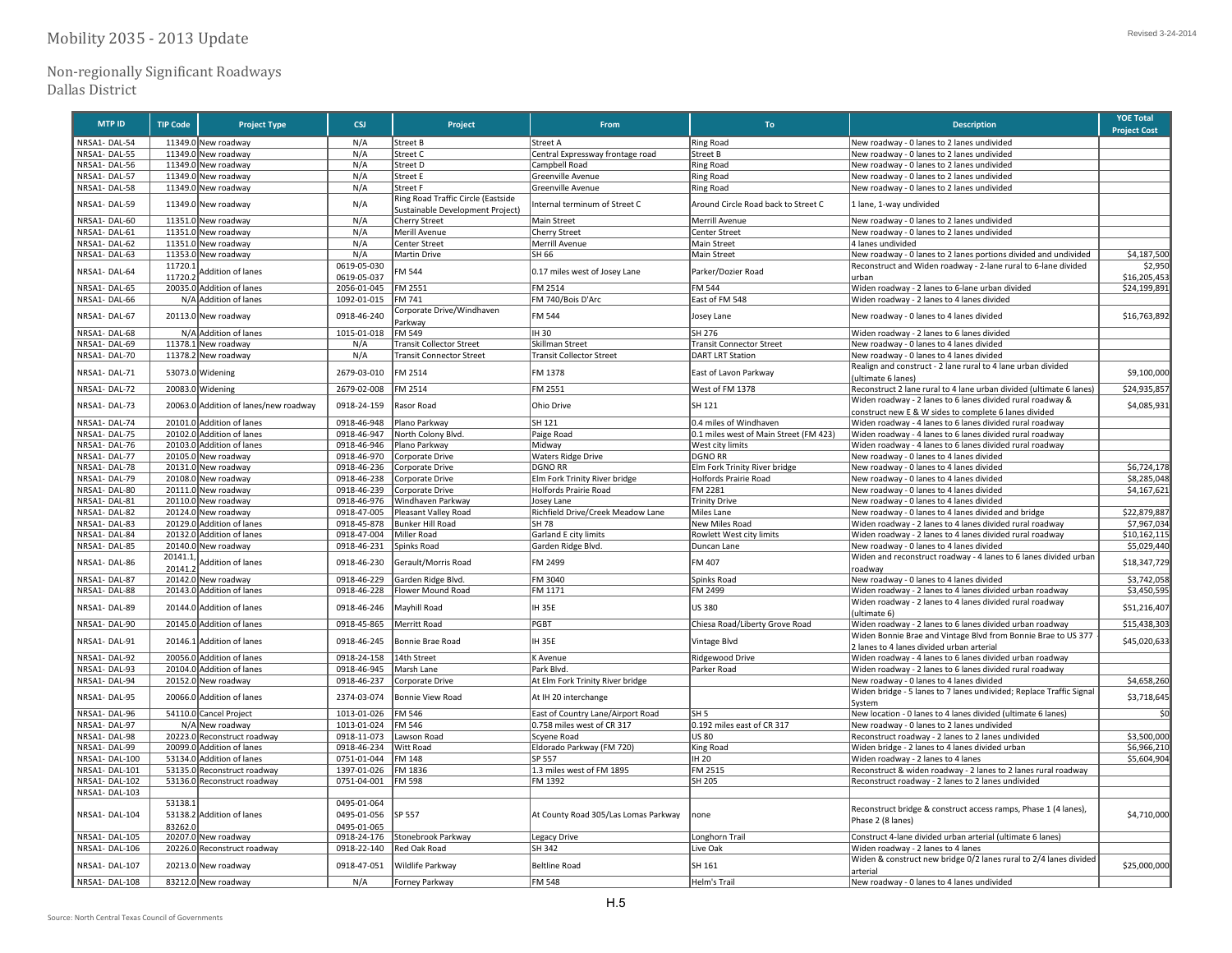## Non‐regionally Significant Roadways

Dallas District

| <b>MTP ID</b>                  | <b>TIP Code</b>    | <b>Project Type</b>                              | <b>CSJ</b>                 | Project                                                                | From                                                            | To                                            | <b>Description</b>                                                                                              | <b>YOE Total</b><br><b>Project Cost</b> |
|--------------------------------|--------------------|--------------------------------------------------|----------------------------|------------------------------------------------------------------------|-----------------------------------------------------------------|-----------------------------------------------|-----------------------------------------------------------------------------------------------------------------|-----------------------------------------|
| NRSA1-DAL-54                   |                    | 11349.0 New roadway                              | N/A                        | Street B                                                               | Street A                                                        | Ring Road                                     | New roadway - 0 lanes to 2 lanes undivided                                                                      |                                         |
| NRSA1-DAL-55                   |                    | 11349.0 New roadway                              | N/A                        | Street C                                                               | Central Expressway frontage road                                | Street B                                      | New roadway - 0 lanes to 2 lanes undivided                                                                      |                                         |
| NRSA1-DAL-56                   |                    | 11349.0 New roadway                              | N/A                        | Street D                                                               | Campbell Road                                                   | Ring Road                                     | New roadway - 0 lanes to 2 lanes undivided                                                                      |                                         |
| NRSA1-DAL-57                   |                    | 11349.0 New roadway                              | N/A                        | <b>Street E</b>                                                        | Greenville Avenue                                               | <b>Ring Road</b>                              | New roadway - 0 lanes to 2 lanes undivided                                                                      |                                         |
| NRSA1-DAL-58                   |                    | 11349.0 New roadway                              | N/A                        | Street F                                                               | Greenville Avenue                                               | <b>Ring Road</b>                              | New roadway - 0 lanes to 2 lanes undivided                                                                      |                                         |
| NRSA1-DAL-59                   |                    | 11349.0 New roadway                              | N/A                        | Ring Road Traffic Circle (Eastside<br>Sustainable Development Project) | Internal terminum of Street C                                   | Around Circle Road back to Street C           | 1 lane, 1-way undivided                                                                                         |                                         |
| NRSA1-DAL-60                   |                    | 11351.0 New roadway                              | N/A                        | <b>Cherry Street</b>                                                   | Main Street                                                     | Merrill Avenue                                | New roadway - 0 lanes to 2 lanes undivided                                                                      |                                         |
| NRSA1-DAL-61                   |                    | 11351.0 New roadway                              | N/A                        | Merill Avenue                                                          | <b>Cherry Street</b>                                            | Center Street                                 | New roadway - 0 lanes to 2 lanes undivided                                                                      |                                         |
| NRSA1-DAL-62                   |                    | 11351.0 New roadway                              | N/A                        | <b>Center Street</b>                                                   | Merrill Avenue                                                  | Main Street                                   | 4 lanes undivided                                                                                               |                                         |
| NRSA1-DAL-63                   |                    | 11353.0 New roadway                              | N/A                        | Martin Drive                                                           | SH 66                                                           | Main Street                                   | New roadway - 0 lanes to 2 lanes portions divided and undivided                                                 | \$4,187,500                             |
| NRSA1-DAL-64                   | 11720.1<br>11720.  | Addition of lanes                                | 0619-05-030<br>0619-05-037 | M 544                                                                  | 0.17 miles west of Josey Lane                                   | Parker/Dozier Road                            | Reconstruct and Widen roadway - 2-lane rural to 6-lane divided<br>urhan                                         | \$2,950<br>\$16,205,453                 |
| NRSA1-DAL-65                   |                    | 20035.0 Addition of lanes                        | 2056-01-045                | FM 2551                                                                | FM 2514                                                         | <b>FM 544</b>                                 | Widen roadway - 2 lanes to 6-lane urban divided                                                                 | \$24,199,89                             |
| NRSA1-DAL-66                   |                    | N/A Addition of lanes                            | 1092-01-015                | FM 741                                                                 | FM 740/Bois D'Arc                                               | East of FM 548                                | Widen roadway - 2 lanes to 4 lanes divided                                                                      |                                         |
| NRSA1-DAL-67                   |                    | 20113.0 New roadway                              | 0918-46-240                | Corporate Drive/Windhaven<br>Parkway                                   | FM 544                                                          | Josey Lane                                    | New roadway - 0 lanes to 4 lanes divided                                                                        | \$16,763,892                            |
| NRSA1-DAL-68                   |                    | N/A Addition of lanes                            | 1015-01-018                | <b>FM 549</b>                                                          | IH 30                                                           | SH 276                                        | Widen roadway - 2 lanes to 6 lanes divided                                                                      |                                         |
| NRSA1-DAL-69                   |                    | 11378.1 New roadway                              | N/A                        | ransit Collector Street                                                | Skillman Street                                                 | <b>Transit Connector Street</b>               | New roadway - 0 lanes to 4 lanes divided                                                                        |                                         |
| NRSA1-DAL-70                   |                    | 11378.2 New roadway                              | N/A                        | <b>Transit Connector Street</b>                                        | <b>Transit Collector Street</b>                                 | <b>DART LRT Station</b>                       | New roadway - 0 lanes to 4 lanes divided                                                                        |                                         |
|                                |                    |                                                  |                            |                                                                        |                                                                 |                                               | Realign and construct - 2 lane rural to 4 lane urban divided                                                    |                                         |
| NRSA1-DAL-71                   |                    | 53073.0 Widening                                 | 2679-03-010                | FM 2514                                                                | FM 1378                                                         | East of Lavon Parkway                         | (ultimate 6 lanes)                                                                                              | \$9,100,000                             |
| NRSA1-DAL-72                   |                    | 20083.0 Widening                                 | 2679-02-008                | FM 2514                                                                | FM 2551                                                         | West of FM 1378                               | Reconstruct 2 lane rural to 4 lane urban divided (ultimate 6 lanes)                                             | \$24,935,857                            |
| NRSA1-DAL-73                   |                    | 20063.0 Addition of lanes/new roadway            | 0918-24-159                | Rasor Road                                                             | Ohio Drive                                                      | SH 121                                        | Widen roadway - 2 lanes to 6 lanes divided rural roadway &                                                      | \$4,085,931                             |
|                                |                    |                                                  |                            |                                                                        |                                                                 |                                               | construct new E & W sides to complete 6 lanes divided                                                           |                                         |
| NRSA1-DAL-74                   |                    | 20101.0 Addition of lanes                        | 0918-46-948                | Plano Parkway                                                          | SH 121                                                          | 0.4 miles of Windhaven                        | Widen roadway - 4 lanes to 6 lanes divided rural roadway                                                        |                                         |
| NRSA1-DAL-75                   |                    | 20102.0 Addition of lanes                        | 0918-46-947                | North Colony Blvd.                                                     | Paige Road                                                      | 0.1 miles west of Main Street (FM 423)        | Widen roadway - 4 lanes to 6 lanes divided rural roadway                                                        |                                         |
| NRSA1-DAL-76                   |                    | 20103.0 Addition of lanes                        | 0918-46-946                | Plano Parkway                                                          | Midway                                                          | West city limits                              | Widen roadway - 4 lanes to 6 lanes divided rural roadway                                                        |                                         |
| NRSA1-DAL-77                   |                    | 20105.0 New roadway                              | 0918-46-970                | Corporate Drive                                                        | <b>Waters Ridge Drive</b>                                       | <b>DGNO RR</b>                                | New roadway - 0 lanes to 4 lanes divided                                                                        |                                         |
| NRSA1-DAL-78                   |                    | 20131.0 New roadway                              | 0918-46-236                | Corporate Drive                                                        | <b>DGNO RR</b>                                                  | Elm Fork Trinity River bridge                 | New roadway - 0 lanes to 4 lanes divided                                                                        | \$6,724,178                             |
| NRSA1-DAL-79<br>NRSA1-DAL-80   |                    | 20108.0 New roadway                              | 0918-46-238<br>0918-46-239 | Corporate Drive                                                        | Elm Fork Trinity River bridge<br>Holfords Prairie Road          | Holfords Prairie Road<br>FM 2281              | New roadway - 0 lanes to 4 lanes divided                                                                        | \$8,285,048<br>\$4,167,621              |
| NRSA1-DAL-81                   |                    | 20111.0 New roadway<br>20110.0 New roadway       | 0918-46-976                | Corporate Drive<br>Windhaven Parkway                                   | losey Lane                                                      | <b>Trinity Drive</b>                          | New roadway - 0 lanes to 4 lanes divided<br>New roadway - 0 lanes to 4 lanes divided                            |                                         |
| NRSA1-DAL-82                   |                    | 20124.0 New roadway                              | 0918-47-005                | Pleasant Valley Road                                                   | Richfield Drive/Creek Meadow Lane                               | Miles Lane                                    | New roadway - 0 lanes to 4 lanes divided and bridge                                                             | \$22,879,88                             |
| NRSA1-DAL-83                   |                    | 20129.0 Addition of lanes                        | 0918-45-878                | Bunker Hill Road                                                       | SH 78                                                           | New Miles Road                                | Widen roadway - 2 lanes to 4 lanes divided rural roadway                                                        | \$7,967,034                             |
| NRSA1-DAL-84                   |                    | 20132.0 Addition of lanes                        | 0918-47-004                | Miller Road                                                            | Garland E city limits                                           | Rowlett West city limits                      | Widen roadway - 2 lanes to 4 lanes divided rural roadway                                                        | \$10,162,11!                            |
| NRSA1-DAL-85                   |                    | 20140.0 New roadway                              | 0918-46-231                | Spinks Road                                                            | Garden Ridge Blvd.                                              | Duncan Lane                                   | New roadway - 0 lanes to 4 lanes divided                                                                        | \$5,029,440                             |
| NRSA1-DAL-86                   | 20141.1<br>20141.2 | <b>Addition of lanes</b>                         | 0918-46-230                | Gerault/Morris Road                                                    | FM 2499                                                         | FM 407                                        | Widen and reconstruct roadway - 4 lanes to 6 lanes divided urban<br>roadway                                     | \$18,347,729                            |
| NRSA1-DAL-87                   |                    | 20142.0 New roadway                              | 0918-46-229                | Garden Ridge Blvd.                                                     | FM 3040                                                         | Spinks Road                                   | New roadway - 0 lanes to 4 lanes divided                                                                        | \$3,742,058                             |
| NRSA1-DAL-88                   |                    | 20143.0 Addition of lanes                        | 0918-46-228                | Flower Mound Road                                                      | FM 1171                                                         | FM 2499                                       | Widen roadway - 2 lanes to 4 lanes divided urban roadway                                                        | \$3,450,59                              |
| NRSA1-DAL-89                   |                    | 20144.0 Addition of lanes                        | 0918-46-246                | Mayhill Road                                                           | <b>IH 35E</b>                                                   | US 380                                        | Widen roadway - 2 lanes to 4 lanes divided rural roadway                                                        | \$51,216,407                            |
| NRSA1-DAL-90                   |                    | 20145.0 Addition of lanes                        | 0918-45-865                | <b>Merritt Road</b>                                                    | PGBT                                                            | Chiesa Road/Liberty Grove Road                | ultimate 6)<br>Widen roadway - 2 lanes to 6 lanes divided urban roadway                                         | \$15,438,30                             |
|                                |                    |                                                  |                            |                                                                        |                                                                 |                                               | Widen Bonnie Brae and Vintage Blvd from Bonnie Brae to US 377                                                   |                                         |
| NRSA1-DAL-91                   |                    | 20146.1 Addition of lanes                        | 0918-46-245                | Bonnie Brae Road                                                       | <b>IH35E</b>                                                    | Vintage Blvd                                  | 2 lanes to 4 lanes divided urban arterial                                                                       | \$45,020,63                             |
| NRSA1-DAL-92                   |                    | 20056.0 Addition of lanes                        | 0918-24-158                | 14th Street                                                            | K Avenue                                                        | <b>Ridgewood Drive</b>                        | Widen roadway - 4 lanes to 6 lanes divided urban roadway                                                        |                                         |
| NRSA1-DAL-93<br>NRSA1-DAL-94   |                    | 20104.0 Addition of lanes                        | 0918-46-945                | Marsh Lane                                                             | Park Blvd.                                                      | Parker Road                                   | Widen roadway - 2 lanes to 6 lanes divided rural roadway                                                        |                                         |
| NRSA1-DAL-95                   |                    | 20152.0 New roadway<br>20066.0 Addition of lanes | 0918-46-237<br>2374-03-074 | <b>Corporate Drive</b><br><b>Bonnie View Road</b>                      | At Elm Fork Trinity River bridge<br>At IH 20 interchange        |                                               | New roadway - 0 lanes to 4 lanes divided<br>Widen bridge - 5 lanes to 7 lanes undivided; Replace Traffic Signal | \$4,658,260<br>\$3,718,645              |
| NRSA1-DAL-96                   |                    |                                                  |                            |                                                                        |                                                                 |                                               | Svstem                                                                                                          | 50                                      |
| NRSA1-DAL-97                   |                    | 54110.0 Cancel Project<br>N/A New roadway        | 1013-01-026<br>1013-01-024 | <b>FM 546</b><br>FM 546                                                | East of Country Lane/Airport Road<br>0.758 miles west of CR 317 | SH <sub>5</sub><br>0.192 miles east of CR 317 | New location - 0 lanes to 4 lanes divided (ultimate 6 lanes)<br>New roadway - 0 lanes to 2 lanes undivided      |                                         |
| NRSA1-DAL-98                   |                    | 20223.0 Reconstruct roadway                      | 0918-11-073                | Lawson Road                                                            | Scyene Road                                                     | <b>US 80</b>                                  | Reconstruct roadway - 2 lanes to 2 lanes undivided                                                              | \$3,500,000                             |
| NRSA1-DAL-99                   |                    | 20099.0 Addition of lanes                        | 0918-46-234                | Witt Road                                                              | Eldorado Parkway (FM 720)                                       | King Road                                     | Widen bridge - 2 lanes to 4 lanes divided urban                                                                 | \$6,966,210                             |
| NRSA1-DAL-100                  |                    | 53134.0 Addition of lanes                        | 0751-01-044                | FM 148                                                                 | SP 557                                                          | IH 20                                         | Widen roadway - 2 lanes to 4 lanes                                                                              | \$5,604,904                             |
| NRSA1-DAL-101                  |                    | 53135.0 Reconstruct roadway                      | 1397-01-026                | FM 1836                                                                | 1.3 miles west of FM 1895                                       | FM 2515                                       | Reconstruct & widen roadway - 2 lanes to 2 lanes rural roadway                                                  |                                         |
| NRSA1-DAL-102                  |                    | 53136.0 Reconstruct roadway                      | 0751-04-001                | FM 598                                                                 | FM 1392                                                         | <b>SH 205</b>                                 | Reconstruct roadway - 2 lanes to 2 lanes undivided                                                              |                                         |
| NRSA1-DAL-103                  |                    |                                                  |                            |                                                                        |                                                                 |                                               |                                                                                                                 |                                         |
|                                | 53138.1            |                                                  | 0495-01-064                |                                                                        |                                                                 |                                               |                                                                                                                 |                                         |
| NRSA1-DAL-104                  | 83262.0            | 53138.2 Addition of lanes                        | 0495-01-056<br>0495-01-065 | SP 557                                                                 | At County Road 305/Las Lomas Parkway                            | none                                          | Reconstruct bridge & construct access ramps, Phase 1 (4 lanes),<br>Phase 2 (8 lanes)                            | \$4,710,000                             |
| NRSA1-DAL-105                  |                    | 20207.0 New roadway                              | 0918-24-176                | Stonebrook Parkway                                                     | egacy Drive                                                     | Longhorn Trail                                | Construct 4-lane divided urban arterial (ultimate 6 lanes)                                                      |                                         |
| NRSA1-DAL-106                  |                    | 20226.0 Reconstruct roadway                      | 0918-22-140                | Red Oak Road                                                           | SH 342                                                          | Live Oak                                      | Widen roadway - 2 lanes to 4 lanes                                                                              |                                         |
|                                |                    |                                                  |                            |                                                                        |                                                                 |                                               | Widen & construct new bridge 0/2 lanes rural to 2/4 lanes divided                                               |                                         |
| NRSA1-DAL-107<br>NRSA1-DAL-108 |                    | 20213.0 New roadway<br>83212.0 New roadway       | 0918-47-051<br>N/A         | Wildlife Parkway<br>Forney Parkway                                     | <b>Beltline Road</b><br>FM 548                                  | SH 161<br>Helm's Trail                        | arterial<br>New roadway - 0 lanes to 4 lanes undivided                                                          | \$25,000,000                            |
|                                |                    |                                                  |                            |                                                                        |                                                                 |                                               |                                                                                                                 |                                         |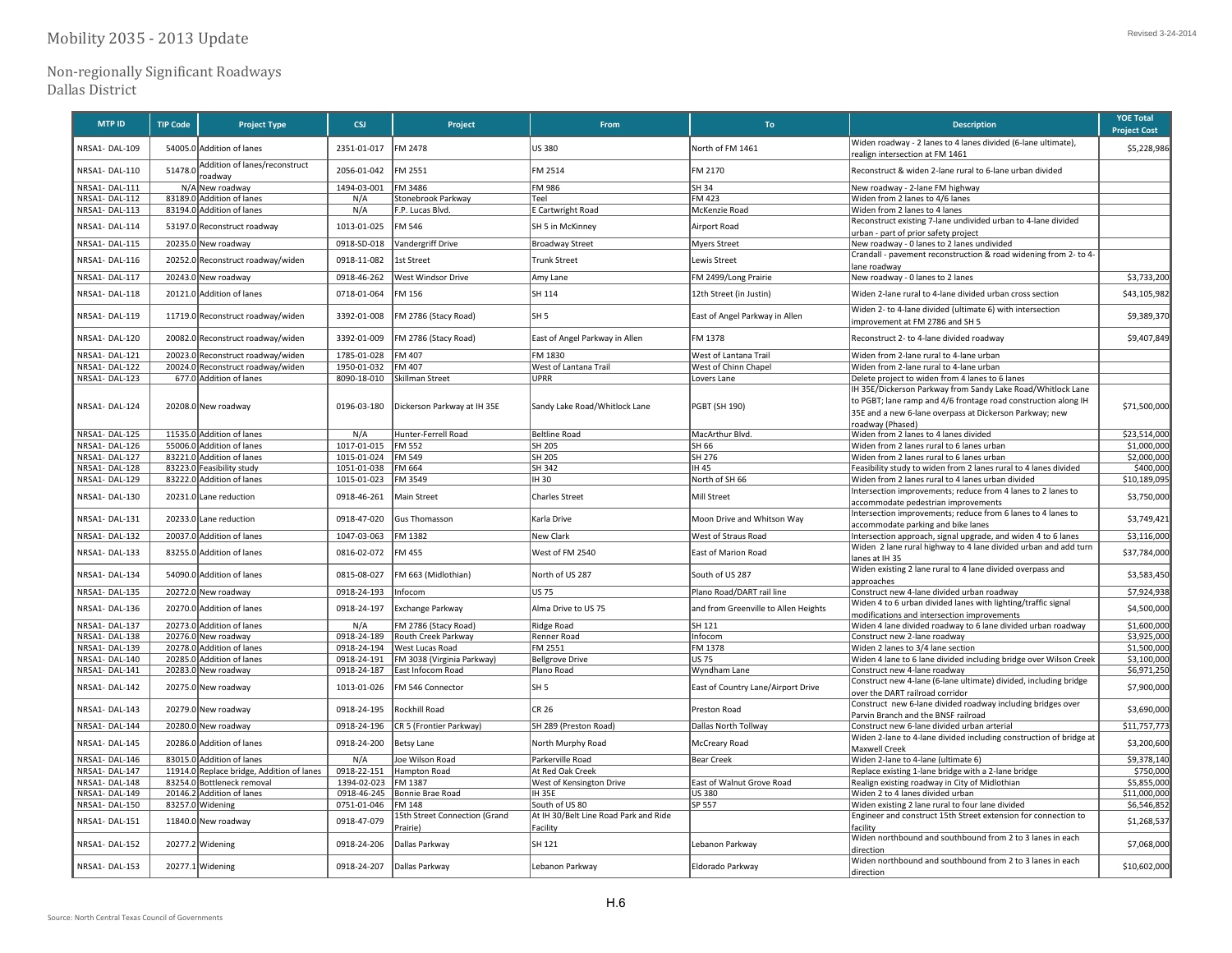Non‐regionally Significant Roadways

Dallas District

| <b>MTP ID</b> | <b>TIP Code</b> | <b>Project Type</b>                       | <b>CSI</b>  | Project                                   | From                                              | To:                                  | <b>Description</b>                                                                                    | <b>YOE Total</b><br><b>Project Cost</b> |
|---------------|-----------------|-------------------------------------------|-------------|-------------------------------------------|---------------------------------------------------|--------------------------------------|-------------------------------------------------------------------------------------------------------|-----------------------------------------|
| NRSA1-DAL-109 |                 | 54005.0 Addition of lanes                 | 2351-01-017 | FM 2478                                   | US 380                                            | North of FM 1461                     | Widen roadway - 2 lanes to 4 lanes divided (6-lane ultimate),                                         |                                         |
|               |                 |                                           |             |                                           |                                                   |                                      | realign intersection at FM 1461                                                                       | \$5,228,986                             |
| NRSA1-DAL-110 | 51478.          | Addition of lanes/reconstruct<br>oadway   | 2056-01-042 | FM 2551                                   | FM 2514                                           | FM 2170                              | Reconstruct & widen 2-lane rural to 6-lane urban divided                                              |                                         |
| NRSA1-DAL-111 |                 | N/A New roadway                           | 1494-03-001 | FM 3486                                   | FM 986                                            | SH 34                                | New roadway - 2-lane FM highway                                                                       |                                         |
| NRSA1-DAL-112 |                 | 83189.0 Addition of lanes                 | N/A         | Stonebrook Parkway                        | Teel                                              | FM 423                               | Widen from 2 lanes to 4/6 lanes                                                                       |                                         |
| NRSA1-DAL-113 |                 | 83194.0 Addition of lanes                 | N/A         | F.P. Lucas Blvd.                          | E Cartwright Road                                 | McKenzie Road                        | Widen from 2 lanes to 4 lanes                                                                         |                                         |
| NRSA1-DAL-114 |                 | 53197.0 Reconstruct roadway               | 1013-01-025 | FM 546                                    | SH 5 in McKinney                                  | Airport Road                         | Reconstruct existing 7-lane undivided urban to 4-lane divided<br>urban - part of prior safety project |                                         |
| NRSA1-DAL-115 |                 | 20235.0 New roadway                       | 0918-SD-018 | Vandergriff Drive                         | <b>Broadway Street</b>                            | <b>Myers Street</b>                  | New roadway - 0 lanes to 2 lanes undivided                                                            |                                         |
| NRSA1-DAL-116 |                 | 20252.0 Reconstruct roadway/widen         | 0918-11-082 | 1st Street                                | <b>Trunk Street</b>                               | <b>Lewis Street</b>                  | Crandall - pavement reconstruction & road widening from 2- to 4<br>ane roadway                        |                                         |
| NRSA1-DAL-117 |                 | 20243.0 New roadway                       | 0918-46-262 | West Windsor Drive                        | Amy Lane                                          | FM 2499/Long Prairie                 | New roadway - 0 lanes to 2 lanes                                                                      | \$3,733,200                             |
| NRSA1-DAL-118 |                 | 20121.0 Addition of lanes                 | 0718-01-064 | M 156                                     | SH 114                                            | 12th Street (in Justin)              | Widen 2-lane rural to 4-lane divided urban cross section                                              | \$43,105,982                            |
| NRSA1-DAL-119 |                 | 11719.0 Reconstruct roadway/widen         | 3392-01-008 | FM 2786 (Stacy Road)                      | lsh 5                                             | East of Angel Parkway in Allen       | Widen 2- to 4-lane divided (ultimate 6) with intersection<br>improvement at FM 2786 and SH 5          | \$9,389,370                             |
| NRSA1-DAL-120 |                 | 20082.0 Reconstruct roadway/widen         | 3392-01-009 | FM 2786 (Stacy Road)                      | East of Angel Parkway in Allen                    | FM 1378                              | Reconstruct 2- to 4-lane divided roadway                                                              | \$9,407,849                             |
| NRSA1-DAL-121 |                 | 20023.0 Reconstruct roadway/widen         | 1785-01-028 | FM 407                                    | FM 1830                                           | West of Lantana Trail                | Widen from 2-lane rural to 4-lane urban                                                               |                                         |
| NRSA1-DAL-122 |                 | 20024.0 Reconstruct roadway/widen         | 1950-01-032 | FM 407                                    | West of Lantana Trail                             | West of Chinn Chapel                 | Widen from 2-lane rural to 4-lane urban                                                               |                                         |
| NRSA1-DAL-123 |                 | 677.0 Addition of lanes                   | 8090-18-010 | Skillman Street                           | <b>UPRR</b>                                       | Lovers Lane                          | Delete project to widen from 4 lanes to 6 lanes                                                       |                                         |
|               |                 |                                           |             |                                           |                                                   |                                      | IH 35E/Dickerson Parkway from Sandy Lake Road/Whitlock Lane                                           |                                         |
| NRSA1-DAL-124 |                 | 20208.0 New roadway                       | 0196-03-180 | Dickerson Parkway at IH 35E               | Sandy Lake Road/Whitlock Lane                     | PGBT (SH 190)                        | to PGBT; lane ramp and 4/6 frontage road construction along IH                                        | \$71,500,000                            |
|               |                 |                                           |             |                                           |                                                   |                                      | 35E and a new 6-lane overpass at Dickerson Parkway; new                                               |                                         |
|               |                 |                                           |             |                                           |                                                   |                                      | roadway (Phased)                                                                                      |                                         |
| NRSA1-DAL-125 |                 | 11535.0 Addition of lanes                 | N/A         | Hunter-Ferrell Road                       | <b>Beltline Road</b>                              | MacArthur Blvd.                      | Widen from 2 lanes to 4 lanes divided                                                                 | \$23,514,000                            |
| NRSA1-DAL-126 |                 | 55006.0 Addition of lanes                 | 1017-01-015 | <b>FM 552</b>                             | SH 205                                            | SH 66                                | Widen from 2 lanes rural to 6 lanes urban                                                             | \$1,000,000                             |
| NRSA1-DAL-127 |                 | 83221.0 Addition of lanes                 | 1015-01-024 | FM 549                                    | SH 205                                            | SH 276                               | Widen from 2 lanes rural to 6 lanes urban                                                             | \$2,000,000                             |
| NRSA1-DAL-128 |                 | 83223.0 Feasibility study                 | 1051-01-038 | FM 664                                    | SH 342                                            | IH 45                                | Feasibility study to widen from 2 lanes rural to 4 lanes divided                                      | \$400,000                               |
| NRSA1-DAL-129 |                 | 83222.0 Addition of lanes                 | 1015-01-023 | FM 3549                                   | IH 30                                             | North of SH 66                       | Widen from 2 lanes rural to 4 lanes urban divided                                                     | \$10,189,09                             |
| NRSA1-DAL-130 |                 | 20231.0 Lane reduction                    | 0918-46-261 | Main Street                               | <b>Charles Street</b>                             | Mill Street                          | Intersection improvements; reduce from 4 lanes to 2 lanes to<br>accommodate pedestrian improvements   | \$3,750,000                             |
| NRSA1-DAL-131 |                 | 20233.0 Lane reduction                    | 0918-47-020 | <b>Gus Thomasson</b>                      | Karla Drive                                       | Moon Drive and Whitson Way           | Intersection improvements; reduce from 6 lanes to 4 lanes to<br>accommodate parking and bike lanes    | \$3,749,421                             |
| NRSA1-DAL-132 |                 | 20037.0 Addition of lanes                 | 1047-03-063 | FM 1382                                   | New Clark                                         | West of Straus Road                  | Intersection approach, signal upgrade, and widen 4 to 6 lanes                                         | \$3,116,000                             |
| NRSA1-DAL-133 |                 | 83255.0 Addition of lanes                 | 0816-02-072 | FM 455                                    | West of FM 2540                                   | East of Marion Road                  | Widen 2 lane rural highway to 4 lane divided urban and add turn<br>lanes at IH 35                     | \$37,784,000                            |
| NRSA1-DAL-134 |                 | 54090.0 Addition of lanes                 | 0815-08-027 | FM 663 (Midlothian)                       | North of US 287                                   | South of US 287                      | Widen existing 2 lane rural to 4 lane divided overpass and<br>approaches                              | \$3,583,450                             |
| NRSA1-DAL-135 |                 | 20272.0 New roadway                       | 0918-24-193 | Infocom                                   | US 75                                             | Plano Road/DART rail line            | Construct new 4-lane divided urban roadway                                                            | \$7,924,938                             |
| NRSA1-DAL-136 |                 | 20270.0 Addition of lanes                 | 0918-24-197 | Exchange Parkway                          | Alma Drive to US 75                               | and from Greenville to Allen Heights | Widen 4 to 6 urban divided lanes with lighting/traffic signal                                         | \$4,500,000                             |
| NRSA1-DAL-137 |                 | 20273.0 Addition of lanes                 | N/A         | FM 2786 (Stacy Road)                      |                                                   | SH 121                               | modifications and intersection improvements                                                           | \$1,600,000                             |
| NRSA1-DAL-138 |                 | 20276.0 New roadway                       | 0918-24-189 | Routh Creek Parkway                       | Ridge Road<br>Renner Road                         | Infocom                              | Widen 4 lane divided roadway to 6 lane divided urban roadway<br>Construct new 2-lane roadway          | \$3,925,000                             |
| NRSA1-DAL-139 |                 | 20278.0 Addition of lanes                 | 0918-24-194 | West Lucas Road                           | FM 2551                                           | FM 1378                              | Widen 2 lanes to 3/4 lane section                                                                     | \$1,500,000                             |
| NRSA1-DAL-140 |                 | 20285.0 Addition of lanes                 | 0918-24-191 | FM 3038 (Virginia Parkway)                | <b>Bellgrove Drive</b>                            | US 75                                | Widen 4 lane to 6 lane divided including bridge over Wilson Creek                                     | \$3,100,000                             |
| NRSA1-DAL-141 |                 | 20283.0 New roadway                       | 0918-24-187 | East Infocom Road                         | Plano Road                                        | Wyndham Lane                         | Construct new 4-lane roadway                                                                          | \$6,971,250                             |
| NRSA1-DAL-142 |                 | 20275.0 New roadway                       | 1013-01-026 | FM 546 Connector                          | lsh 5                                             | East of Country Lane/Airport Drive   | Construct new 4-lane (6-lane ultimate) divided, including bridge<br>ver the DART railroad corridor    | \$7,900,000                             |
| NRSA1-DAL-143 |                 | 20279.0 New roadway                       | 0918-24-195 | Rockhill Road                             | CR 26                                             | Preston Road                         | Construct new 6-lane divided roadway including bridges over                                           | \$3,690,000                             |
| NRSA1-DAL-144 |                 | 20280.0 New roadway                       | 0918-24-196 | CR 5 (Frontier Parkway)                   | SH 289 (Preston Road)                             | Dallas North Tollway                 | Parvin Branch and the BNSF railroad<br>Construct new 6-lane divided urban arterial                    | \$11,757,773                            |
| NRSA1-DAL-145 |                 | 20286.0 Addition of lanes                 | 0918-24-200 | <b>Betsy Lane</b>                         | North Murphy Road                                 | McCreary Road                        | Widen 2-lane to 4-lane divided including construction of bridge at                                    | \$3,200,600                             |
| NRSA1-DAL-146 |                 | 83015.0 Addition of lanes                 | N/A         | Joe Wilson Road                           | Parkerville Road                                  | <b>Bear Creek</b>                    | Maxwell Creek<br>Widen 2-lane to 4-lane (ultimate 6)                                                  | \$9,378,140                             |
| NRSA1-DAL-147 |                 | 11914.0 Replace bridge, Addition of lanes | 0918-22-151 | Hampton Road                              | At Red Oak Creek                                  |                                      | Replace existing 1-lane bridge with a 2-lane bridge                                                   | \$750,000                               |
| NRSA1-DAL-148 |                 | 83254.0 Bottleneck removal                | 1394-02-023 | FM 1387                                   | West of Kensington Drive                          | East of Walnut Grove Road            | Realign existing roadway in City of Midlothian                                                        | \$5,855,000                             |
| NRSA1-DAL-149 |                 | 20146.2 Addition of lanes                 | 0918-46-245 | Bonnie Brae Road                          | <b>IH 35E</b>                                     | US 380                               | Widen 2 to 4 lanes divided urban                                                                      | \$11,000,000                            |
| NRSA1-DAL-150 |                 | 83257.0 Widening                          | 0751-01-046 | FM 148                                    | South of US 80                                    | SP 557                               | Widen existing 2 lane rural to four lane divided                                                      | \$6,546,852                             |
| NRSA1-DAL-151 |                 | 11840.0 New roadway                       | 0918-47-079 | 15th Street Connection (Grand<br>Prairie) | At IH 30/Belt Line Road Park and Ride<br>Facility |                                      | Engineer and construct 15th Street extension for connection to<br>facility                            | \$1,268,537                             |
| NRSA1-DAL-152 |                 | 20277.2 Widening                          | 0918-24-206 | Dallas Parkway                            | SH 121                                            | Lebanon Parkway                      | Widen northbound and southbound from 2 to 3 lanes in each<br>direction                                | \$7,068,000                             |
| NRSA1-DAL-153 |                 | 20277.1 Widening                          | 0918-24-207 | Dallas Parkway                            | Lebanon Parkway                                   | Eldorado Parkway                     | Widen northbound and southbound from 2 to 3 lanes in each<br>direction                                | \$10,602,000                            |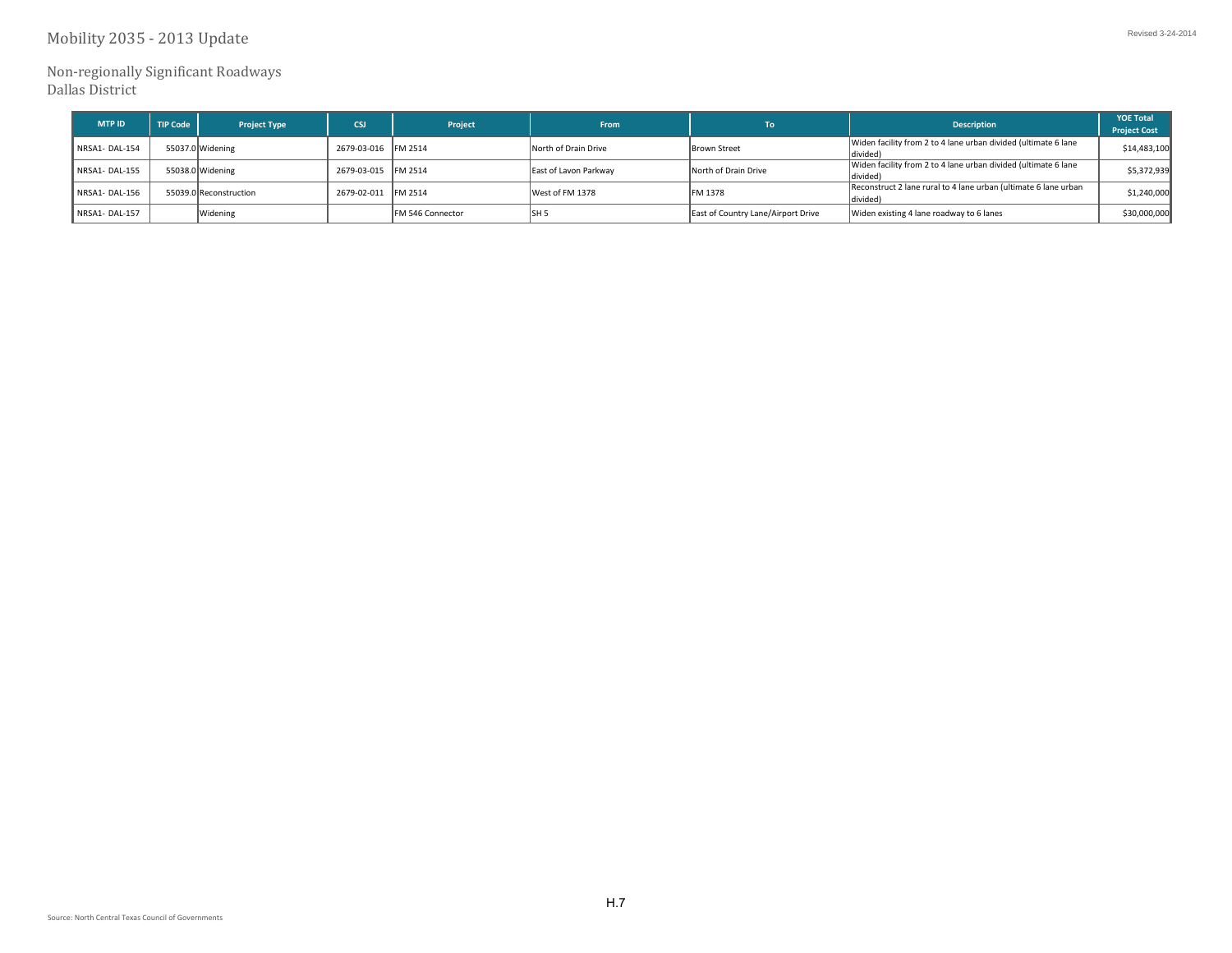Non-regionally Significant Roadways Dallas District

| <b>MTP ID</b> | <b>TIP Code</b> | <b>Project Type</b>    | <b>CSI</b>          | Project                  | From                  | Tо                                 | <b>Description</b>                                                          | <b>YOE Total</b><br><b>Project Cost</b> |
|---------------|-----------------|------------------------|---------------------|--------------------------|-----------------------|------------------------------------|-----------------------------------------------------------------------------|-----------------------------------------|
| NRSA1-DAL-154 |                 | 55037.0 Widening       | 2679-03-016 FM 2514 |                          | North of Drain Drive  | Brown Street                       | Widen facility from 2 to 4 lane urban divided (ultimate 6 lane<br>(divided) | \$14,483,100                            |
| NRSA1-DAL-155 |                 | 55038.0 Widening       | 2679-03-015 FM 2514 |                          | East of Lavon Parkway | North of Drain Drive               | Widen facility from 2 to 4 lane urban divided (ultimate 6 lane<br>divided)  | \$5,372,939                             |
| NRSA1-DAL-156 |                 | 55039.0 Reconstruction | 2679-02-011 FM 2514 |                          | West of FM 1378       | FM 1378                            | Reconstruct 2 lane rural to 4 lane urban (ultimate 6 lane urban<br>divided) | \$1.240.000                             |
| NRSA1-DAL-157 |                 | Widening               |                     | <b>IFM 546 Connector</b> | ISH <sub>5</sub>      | East of Country Lane/Airport Drive | Widen existing 4 lane roadway to 6 lanes                                    | \$30,000,000                            |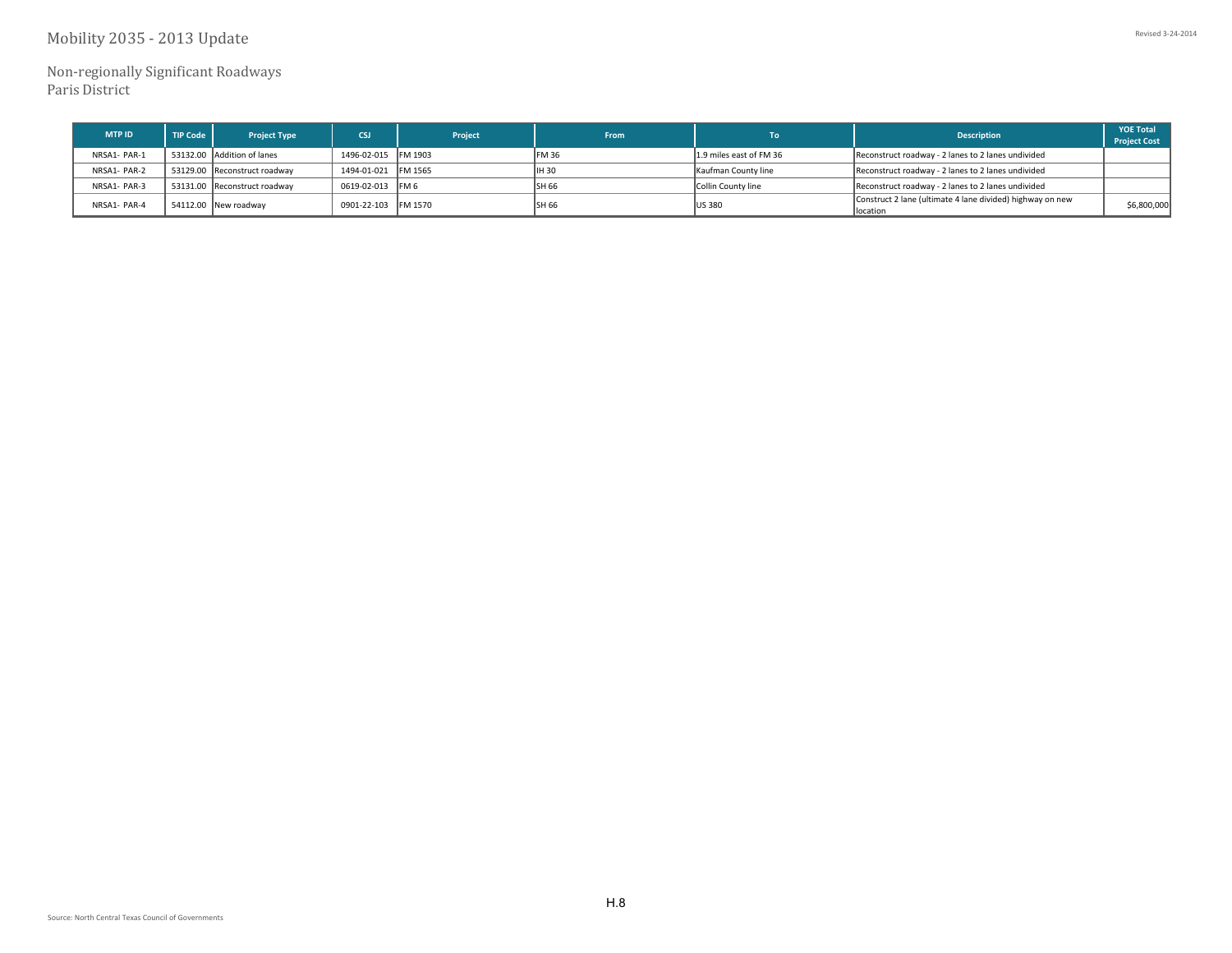## Mobility 2035 - 2013 Update

Non‐regionally Significant Roadways Paris District

| <b>MTP ID</b> | <b>TIP Code</b> | <b>Project Type</b>          | CSJ.                | Project | From   | Тo                      | <b>Description</b>                                                     | <b>YOE Total</b><br><b>Project Cost</b> |
|---------------|-----------------|------------------------------|---------------------|---------|--------|-------------------------|------------------------------------------------------------------------|-----------------------------------------|
| NRSA1- PAR-1  |                 | 53132.00 Addition of lanes   | 1496-02-015 FM 1903 |         | IFM 36 | 1.9 miles east of FM 36 | Reconstruct roadway - 2 lanes to 2 lanes undivided                     |                                         |
| NRSA1- PAR-2  |                 | 53129.00 Reconstruct roadway | 1494-01-021 FM 1565 |         | IIH 30 | Kaufman County line     | Reconstruct roadway - 2 lanes to 2 lanes undivided                     |                                         |
| NRSA1- PAR-3  |                 | 53131.00 Reconstruct roadway | 0619-02-013 FM 6    |         | ISH 66 | Collin County line      | Reconstruct roadway - 2 lanes to 2 lanes undivided                     |                                         |
| NRSA1- PAR-4  |                 | 54112.00 New roadway         | 0901-22-103 FM 1570 |         | ISH 66 | <b>US 380</b>           | Construct 2 lane (ultimate 4 lane divided) highway on new<br>llocation | \$6,800,000                             |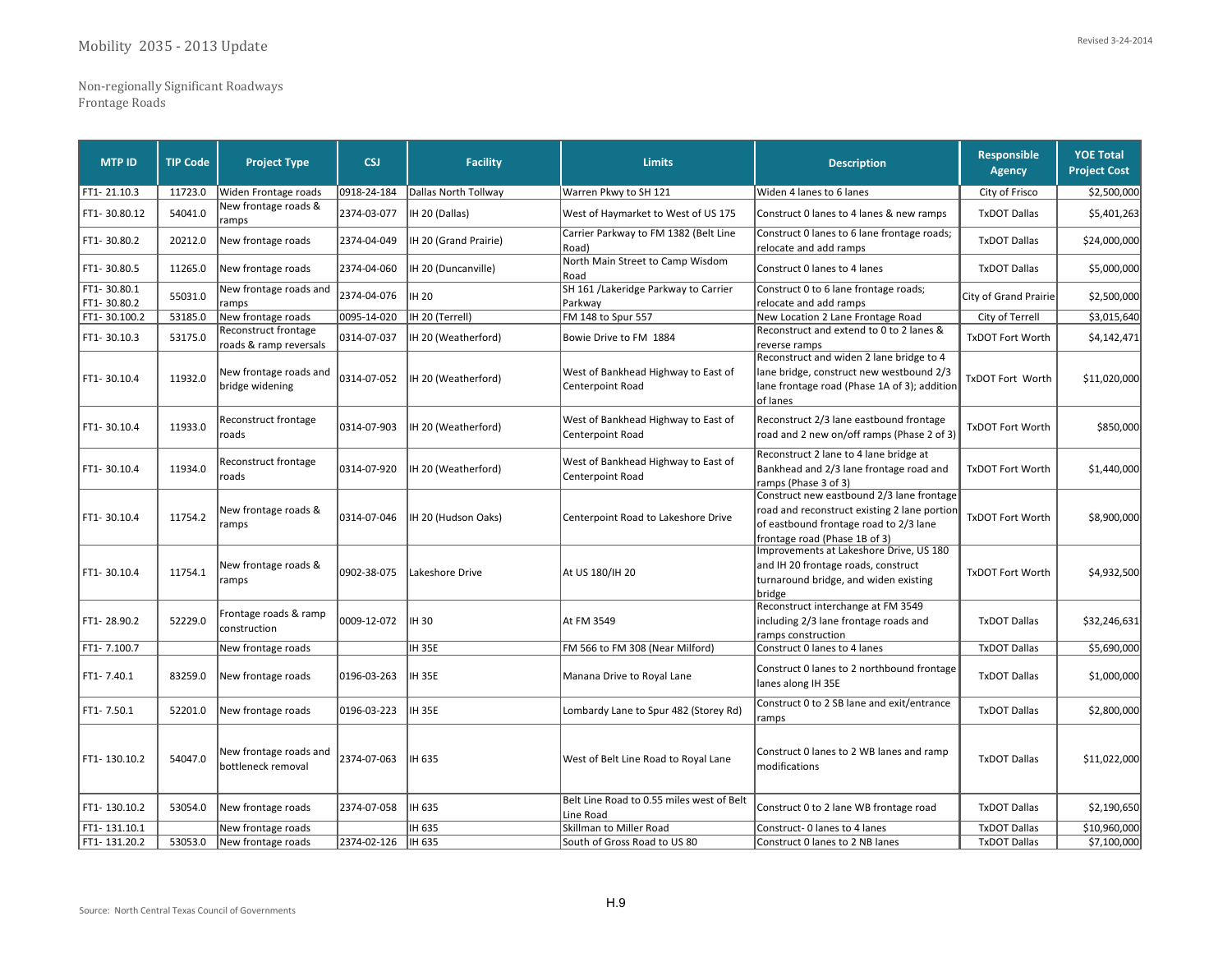Non‐regionally Significant Roadways Frontage Roads

| <b>MTP ID</b>              | <b>TIP Code</b> | <b>Project Type</b>                            | <b>CSJ</b>  | <b>Facility</b>       | <b>Limits</b>                                           | <b>Description</b>                                                                                                                                                   | <b>Responsible</b><br><b>Agency</b> | <b>YOE Total</b><br><b>Project Cost</b> |
|----------------------------|-----------------|------------------------------------------------|-------------|-----------------------|---------------------------------------------------------|----------------------------------------------------------------------------------------------------------------------------------------------------------------------|-------------------------------------|-----------------------------------------|
| FT1-21.10.3                | 11723.0         | Widen Frontage roads                           | 0918-24-184 | Dallas North Tollway  | Warren Pkwy to SH 121                                   | Widen 4 lanes to 6 lanes                                                                                                                                             | City of Frisco                      | \$2,500,000                             |
| FT1-30.80.12               | 54041.0         | New frontage roads &<br>ramps                  | 2374-03-077 | IH 20 (Dallas)        | West of Haymarket to West of US 175                     | Construct 0 lanes to 4 lanes & new ramps                                                                                                                             | <b>TxDOT Dallas</b>                 | \$5,401,263                             |
| FT1-30.80.2                | 20212.0         | New frontage roads                             | 2374-04-049 | IH 20 (Grand Prairie) | Carrier Parkway to FM 1382 (Belt Line<br>Road)          | Construct 0 lanes to 6 lane frontage roads;<br>relocate and add ramps                                                                                                | <b>TxDOT Dallas</b>                 | \$24,000,000                            |
| FT1-30.80.5                | 11265.0         | New frontage roads                             | 2374-04-060 | IH 20 (Duncanville)   | North Main Street to Camp Wisdom<br>Road                | Construct 0 lanes to 4 lanes                                                                                                                                         | <b>TxDOT Dallas</b>                 | \$5,000,000                             |
| FT1-30.80.1<br>FT1-30.80.2 | 55031.0         | New frontage roads and<br>ramps                | 2374-04-076 | <b>IH 20</b>          | SH 161 /Lakeridge Parkway to Carrier<br>Parkway         | Construct 0 to 6 lane frontage roads;<br>relocate and add ramps                                                                                                      | City of Grand Prairie               | \$2,500,000                             |
| FT1-30.100.2               | 53185.0         | New frontage roads                             | 0095-14-020 | IH 20 (Terrell)       | FM 148 to Spur 557                                      | New Location 2 Lane Frontage Road                                                                                                                                    | City of Terrell                     | \$3,015,640                             |
| FT1-30.10.3                | 53175.0         | Reconstruct frontage<br>roads & ramp reversals | 0314-07-037 | IH 20 (Weatherford)   | Bowie Drive to FM 1884                                  | Reconstruct and extend to 0 to 2 lanes &<br>reverse ramps                                                                                                            | <b>TxDOT Fort Worth</b>             | \$4,142,471                             |
| FT1-30.10.4                | 11932.0         | New frontage roads and<br>bridge widening      | 0314-07-052 | IH 20 (Weatherford)   | West of Bankhead Highway to East of<br>Centerpoint Road | Reconstruct and widen 2 lane bridge to 4<br>lane bridge, construct new westbound 2/3<br>lane frontage road (Phase 1A of 3); addition<br>of lanes                     | TxDOT Fort Worth                    | \$11,020,000                            |
| FT1-30.10.4                | 11933.0         | Reconstruct frontage<br>roads                  | 0314-07-903 | IH 20 (Weatherford)   | West of Bankhead Highway to East of<br>Centerpoint Road | Reconstruct 2/3 lane eastbound frontage<br>road and 2 new on/off ramps (Phase 2 of 3)                                                                                | <b>TxDOT Fort Worth</b>             | \$850,000                               |
| FT1-30.10.4                | 11934.0         | Reconstruct frontage<br>roads                  | 0314-07-920 | IH 20 (Weatherford)   | West of Bankhead Highway to East of<br>Centerpoint Road | Reconstruct 2 lane to 4 lane bridge at<br>Bankhead and 2/3 lane frontage road and<br>ramps (Phase 3 of 3)                                                            | <b>TxDOT Fort Worth</b>             | \$1,440,000                             |
| FT1-30.10.4                | 11754.2         | New frontage roads &<br>ramps                  | 0314-07-046 | IH 20 (Hudson Oaks)   | Centerpoint Road to Lakeshore Drive                     | Construct new eastbound 2/3 lane frontage<br>road and reconstruct existing 2 lane portion<br>of eastbound frontage road to 2/3 lane<br>frontage road (Phase 1B of 3) | <b>TxDOT Fort Worth</b>             | \$8,900,000                             |
| FT1-30.10.4                | 11754.1         | New frontage roads &<br>ramps                  | 0902-38-075 | Lakeshore Drive       | At US 180/IH 20                                         | Improvements at Lakeshore Drive, US 180<br>and IH 20 frontage roads, construct<br>turnaround bridge, and widen existing<br>bridge                                    | <b>TxDOT Fort Worth</b>             | \$4,932,500                             |
| FT1-28.90.2                | 52229.0         | Frontage roads & ramp<br>lconstruction         | 0009-12-072 | IH 30                 | At FM 3549                                              | Reconstruct interchange at FM 3549<br>including 2/3 lane frontage roads and<br>ramps construction                                                                    | <b>TxDOT Dallas</b>                 | \$32,246,631                            |
| FT1-7.100.7                |                 | New frontage roads                             |             | <b>IH 35E</b>         | FM 566 to FM 308 (Near Milford)                         | Construct 0 lanes to 4 lanes                                                                                                                                         | <b>TxDOT Dallas</b>                 | \$5,690,000                             |
| FT1-7.40.1                 | 83259.0         | New frontage roads                             | 0196-03-263 | <b>IH 35E</b>         | Manana Drive to Royal Lane                              | Construct 0 lanes to 2 northbound frontage<br>lanes along IH 35E                                                                                                     | <b>TxDOT Dallas</b>                 | \$1,000,000                             |
| FT1-7.50.1                 | 52201.0         | New frontage roads                             | 0196-03-223 | IH 35E                | Lombardy Lane to Spur 482 (Storey Rd)                   | Construct 0 to 2 SB lane and exit/entrance<br>ramps                                                                                                                  | <b>TxDOT Dallas</b>                 | \$2,800,000                             |
| FT1-130.10.2               | 54047.0         | New frontage roads and<br>bottleneck removal   | 2374-07-063 | IH 635                | West of Belt Line Road to Royal Lane                    | Construct 0 lanes to 2 WB lanes and ramp<br>modifications                                                                                                            | <b>TxDOT Dallas</b>                 | \$11,022,000                            |
| FT1-130.10.2               | 53054.0         | New frontage roads                             | 2374-07-058 | IH 635                | Belt Line Road to 0.55 miles west of Belt<br>Line Road  | Construct 0 to 2 lane WB frontage road                                                                                                                               | <b>TxDOT Dallas</b>                 | \$2,190,650                             |
| FT1-131.10.1               |                 | New frontage roads                             |             | IH 635                | Skillman to Miller Road                                 | Construct- 0 lanes to 4 lanes                                                                                                                                        | <b>TxDOT Dallas</b>                 | \$10,960,000                            |
| FT1-131.20.2               | 53053.0         | New frontage roads                             | 2374-02-126 | lıн 635               | South of Gross Road to US 80                            | Construct 0 lanes to 2 NB lanes                                                                                                                                      | <b>TxDOT Dallas</b>                 | \$7,100,000                             |